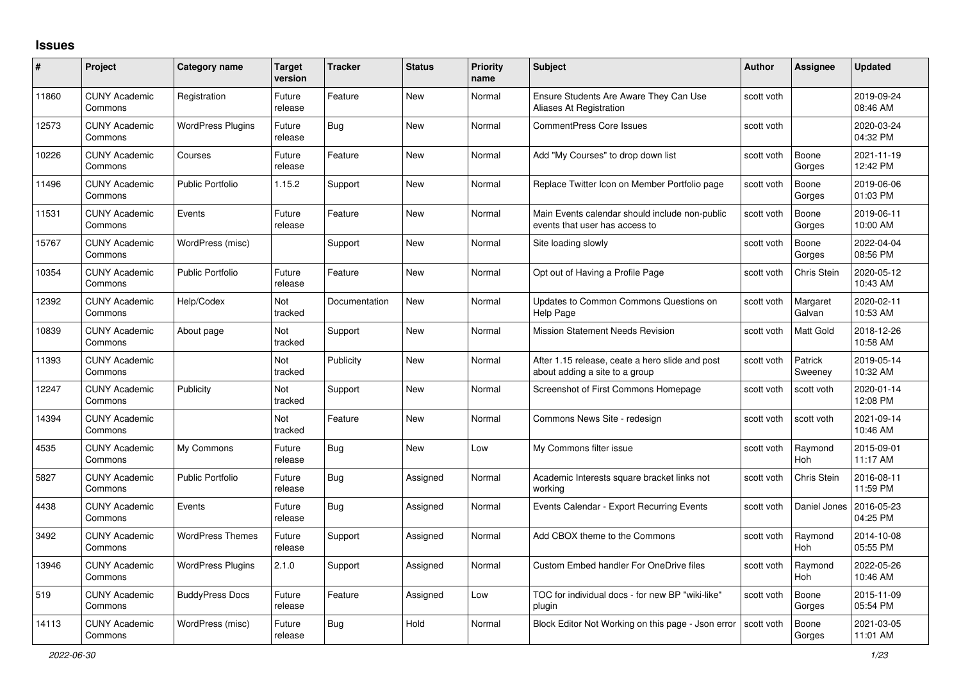## **Issues**

| #     | Project                         | Category name            | <b>Target</b><br>version | <b>Tracker</b> | <b>Status</b> | <b>Priority</b><br>name | <b>Subject</b>                                                                    | <b>Author</b> | Assignee              | <b>Updated</b>         |
|-------|---------------------------------|--------------------------|--------------------------|----------------|---------------|-------------------------|-----------------------------------------------------------------------------------|---------------|-----------------------|------------------------|
| 11860 | <b>CUNY Academic</b><br>Commons | Registration             | Future<br>release        | Feature        | <b>New</b>    | Normal                  | Ensure Students Are Aware They Can Use<br>Aliases At Registration                 | scott voth    |                       | 2019-09-24<br>08:46 AM |
| 12573 | <b>CUNY Academic</b><br>Commons | <b>WordPress Plugins</b> | Future<br>release        | Bug            | <b>New</b>    | Normal                  | <b>CommentPress Core Issues</b>                                                   | scott voth    |                       | 2020-03-24<br>04:32 PM |
| 10226 | <b>CUNY Academic</b><br>Commons | Courses                  | Future<br>release        | Feature        | <b>New</b>    | Normal                  | Add "My Courses" to drop down list                                                | scott voth    | Boone<br>Gorges       | 2021-11-19<br>12:42 PM |
| 11496 | <b>CUNY Academic</b><br>Commons | <b>Public Portfolio</b>  | 1.15.2                   | Support        | <b>New</b>    | Normal                  | Replace Twitter Icon on Member Portfolio page                                     | scott voth    | Boone<br>Gorges       | 2019-06-06<br>01:03 PM |
| 11531 | <b>CUNY Academic</b><br>Commons | Events                   | Future<br>release        | Feature        | <b>New</b>    | Normal                  | Main Events calendar should include non-public<br>events that user has access to  | scott voth    | Boone<br>Gorges       | 2019-06-11<br>10:00 AM |
| 15767 | <b>CUNY Academic</b><br>Commons | WordPress (misc)         |                          | Support        | <b>New</b>    | Normal                  | Site loading slowly                                                               | scott voth    | Boone<br>Gorges       | 2022-04-04<br>08:56 PM |
| 10354 | <b>CUNY Academic</b><br>Commons | <b>Public Portfolio</b>  | Future<br>release        | Feature        | <b>New</b>    | Normal                  | Opt out of Having a Profile Page                                                  | scott voth    | Chris Stein           | 2020-05-12<br>10:43 AM |
| 12392 | <b>CUNY Academic</b><br>Commons | Help/Codex               | Not<br>tracked           | Documentation  | <b>New</b>    | Normal                  | Updates to Common Commons Questions on<br>Help Page                               | scott voth    | Margaret<br>Galvan    | 2020-02-11<br>10:53 AM |
| 10839 | <b>CUNY Academic</b><br>Commons | About page               | Not<br>tracked           | Support        | <b>New</b>    | Normal                  | <b>Mission Statement Needs Revision</b>                                           | scott voth    | <b>Matt Gold</b>      | 2018-12-26<br>10:58 AM |
| 11393 | <b>CUNY Academic</b><br>Commons |                          | Not<br>tracked           | Publicity      | <b>New</b>    | Normal                  | After 1.15 release, ceate a hero slide and post<br>about adding a site to a group | scott voth    | Patrick<br>Sweeney    | 2019-05-14<br>10:32 AM |
| 12247 | <b>CUNY Academic</b><br>Commons | Publicity                | Not<br>tracked           | Support        | <b>New</b>    | Normal                  | Screenshot of First Commons Homepage                                              | scott voth    | scott voth            | 2020-01-14<br>12:08 PM |
| 14394 | <b>CUNY Academic</b><br>Commons |                          | Not<br>tracked           | Feature        | <b>New</b>    | Normal                  | Commons News Site - redesign                                                      | scott voth    | scott voth            | 2021-09-14<br>10:46 AM |
| 4535  | <b>CUNY Academic</b><br>Commons | My Commons               | Future<br>release        | Bug            | <b>New</b>    | Low                     | My Commons filter issue                                                           | scott voth    | Raymond<br><b>Hoh</b> | 2015-09-01<br>11:17 AM |
| 5827  | <b>CUNY Academic</b><br>Commons | <b>Public Portfolio</b>  | Future<br>release        | Bug            | Assigned      | Normal                  | Academic Interests square bracket links not<br>working                            | scott voth    | Chris Stein           | 2016-08-11<br>11:59 PM |
| 4438  | <b>CUNY Academic</b><br>Commons | Events                   | Future<br>release        | <b>Bug</b>     | Assigned      | Normal                  | Events Calendar - Export Recurring Events                                         | scott voth    | Daniel Jones          | 2016-05-23<br>04:25 PM |
| 3492  | <b>CUNY Academic</b><br>Commons | <b>WordPress Themes</b>  | Future<br>release        | Support        | Assigned      | Normal                  | Add CBOX theme to the Commons                                                     | scott voth    | Raymond<br><b>Hoh</b> | 2014-10-08<br>05:55 PM |
| 13946 | <b>CUNY Academic</b><br>Commons | <b>WordPress Plugins</b> | 2.1.0                    | Support        | Assigned      | Normal                  | <b>Custom Embed handler For OneDrive files</b>                                    | scott voth    | Raymond<br><b>Hoh</b> | 2022-05-26<br>10:46 AM |
| 519   | <b>CUNY Academic</b><br>Commons | <b>BuddyPress Docs</b>   | Future<br>release        | Feature        | Assigned      | Low                     | TOC for individual docs - for new BP "wiki-like"<br>plugin                        | scott voth    | Boone<br>Gorges       | 2015-11-09<br>05:54 PM |
| 14113 | <b>CUNY Academic</b><br>Commons | WordPress (misc)         | Future<br>release        | Bug            | Hold          | Normal                  | Block Editor Not Working on this page - Json error                                | scott voth    | Boone<br>Gorges       | 2021-03-05<br>11:01 AM |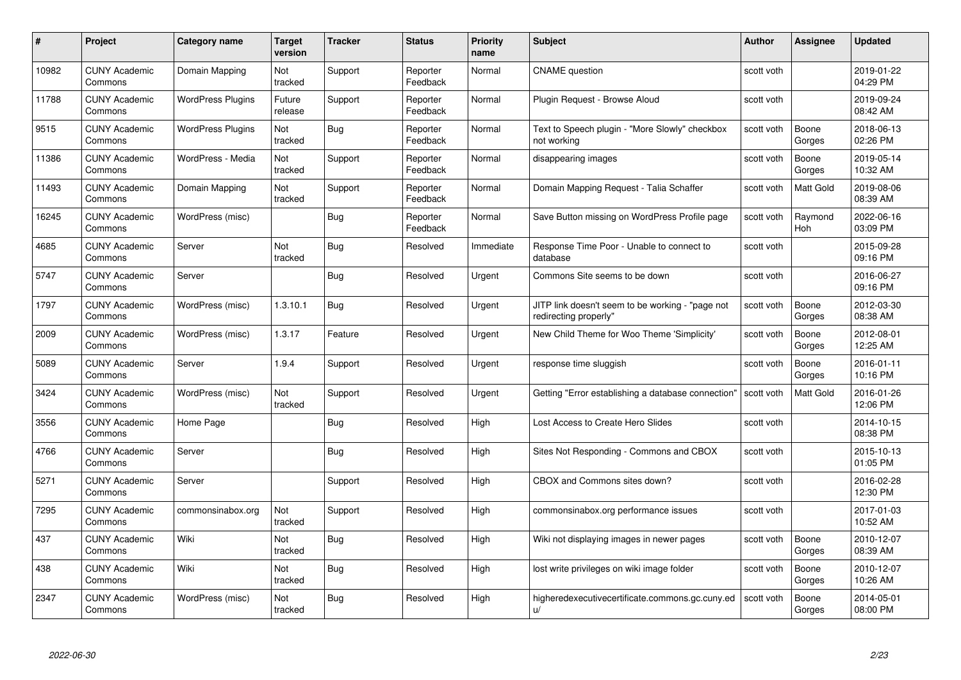| #     | Project                         | Category name            | Target<br>version     | <b>Tracker</b> | <b>Status</b>        | <b>Priority</b><br>name | <b>Subject</b>                                                            | <b>Author</b> | <b>Assignee</b>  | <b>Updated</b>         |
|-------|---------------------------------|--------------------------|-----------------------|----------------|----------------------|-------------------------|---------------------------------------------------------------------------|---------------|------------------|------------------------|
| 10982 | <b>CUNY Academic</b><br>Commons | Domain Mapping           | <b>Not</b><br>tracked | Support        | Reporter<br>Feedback | Normal                  | <b>CNAME</b> question                                                     | scott voth    |                  | 2019-01-22<br>04:29 PM |
| 11788 | <b>CUNY Academic</b><br>Commons | <b>WordPress Plugins</b> | Future<br>release     | Support        | Reporter<br>Feedback | Normal                  | Plugin Request - Browse Aloud                                             | scott voth    |                  | 2019-09-24<br>08:42 AM |
| 9515  | <b>CUNY Academic</b><br>Commons | <b>WordPress Plugins</b> | Not<br>tracked        | <b>Bug</b>     | Reporter<br>Feedback | Normal                  | Text to Speech plugin - "More Slowly" checkbox<br>not working             | scott voth    | Boone<br>Gorges  | 2018-06-13<br>02:26 PM |
| 11386 | <b>CUNY Academic</b><br>Commons | WordPress - Media        | Not<br>tracked        | Support        | Reporter<br>Feedback | Normal                  | disappearing images                                                       | scott voth    | Boone<br>Gorges  | 2019-05-14<br>10:32 AM |
| 11493 | <b>CUNY Academic</b><br>Commons | Domain Mapping           | Not<br>tracked        | Support        | Reporter<br>Feedback | Normal                  | Domain Mapping Request - Talia Schaffer                                   | scott voth    | <b>Matt Gold</b> | 2019-08-06<br>08:39 AM |
| 16245 | <b>CUNY Academic</b><br>Commons | WordPress (misc)         |                       | Bug            | Reporter<br>Feedback | Normal                  | Save Button missing on WordPress Profile page                             | scott voth    | Raymond<br>Hoh   | 2022-06-16<br>03:09 PM |
| 4685  | <b>CUNY Academic</b><br>Commons | Server                   | Not<br>tracked        | <b>Bug</b>     | Resolved             | Immediate               | Response Time Poor - Unable to connect to<br>database                     | scott voth    |                  | 2015-09-28<br>09:16 PM |
| 5747  | <b>CUNY Academic</b><br>Commons | Server                   |                       | Bug            | Resolved             | Urgent                  | Commons Site seems to be down                                             | scott voth    |                  | 2016-06-27<br>09:16 PM |
| 1797  | <b>CUNY Academic</b><br>Commons | WordPress (misc)         | 1.3.10.1              | Bug            | Resolved             | Urgent                  | JITP link doesn't seem to be working - "page not<br>redirecting properly" | scott voth    | Boone<br>Gorges  | 2012-03-30<br>08:38 AM |
| 2009  | <b>CUNY Academic</b><br>Commons | WordPress (misc)         | 1.3.17                | Feature        | Resolved             | Urgent                  | New Child Theme for Woo Theme 'Simplicity'                                | scott voth    | Boone<br>Gorges  | 2012-08-01<br>12:25 AM |
| 5089  | <b>CUNY Academic</b><br>Commons | Server                   | 1.9.4                 | Support        | Resolved             | Urgent                  | response time sluggish                                                    | scott voth    | Boone<br>Gorges  | 2016-01-11<br>10:16 PM |
| 3424  | <b>CUNY Academic</b><br>Commons | WordPress (misc)         | Not<br>tracked        | Support        | Resolved             | Urgent                  | Getting "Error establishing a database connection"                        | scott voth    | Matt Gold        | 2016-01-26<br>12:06 PM |
| 3556  | <b>CUNY Academic</b><br>Commons | Home Page                |                       | <b>Bug</b>     | Resolved             | High                    | Lost Access to Create Hero Slides                                         | scott voth    |                  | 2014-10-15<br>08:38 PM |
| 4766  | <b>CUNY Academic</b><br>Commons | Server                   |                       | Bug            | Resolved             | High                    | Sites Not Responding - Commons and CBOX                                   | scott voth    |                  | 2015-10-13<br>01:05 PM |
| 5271  | <b>CUNY Academic</b><br>Commons | Server                   |                       | Support        | Resolved             | High                    | CBOX and Commons sites down?                                              | scott voth    |                  | 2016-02-28<br>12:30 PM |
| 7295  | <b>CUNY Academic</b><br>Commons | commonsinabox.org        | Not<br>tracked        | Support        | Resolved             | High                    | commonsinabox.org performance issues                                      | scott voth    |                  | 2017-01-03<br>10:52 AM |
| 437   | <b>CUNY Academic</b><br>Commons | Wiki                     | Not<br>tracked        | <b>Bug</b>     | Resolved             | High                    | Wiki not displaying images in newer pages                                 | scott voth    | Boone<br>Gorges  | 2010-12-07<br>08:39 AM |
| 438   | <b>CUNY Academic</b><br>Commons | Wiki                     | Not<br>tracked        | <b>Bug</b>     | Resolved             | High                    | lost write privileges on wiki image folder                                | scott voth    | Boone<br>Gorges  | 2010-12-07<br>10:26 AM |
| 2347  | <b>CUNY Academic</b><br>Commons | WordPress (misc)         | Not<br>tracked        | <b>Bug</b>     | Resolved             | High                    | higheredexecutivecertificate.commons.gc.cuny.ed<br>u/                     | scott voth    | Boone<br>Gorges  | 2014-05-01<br>08:00 PM |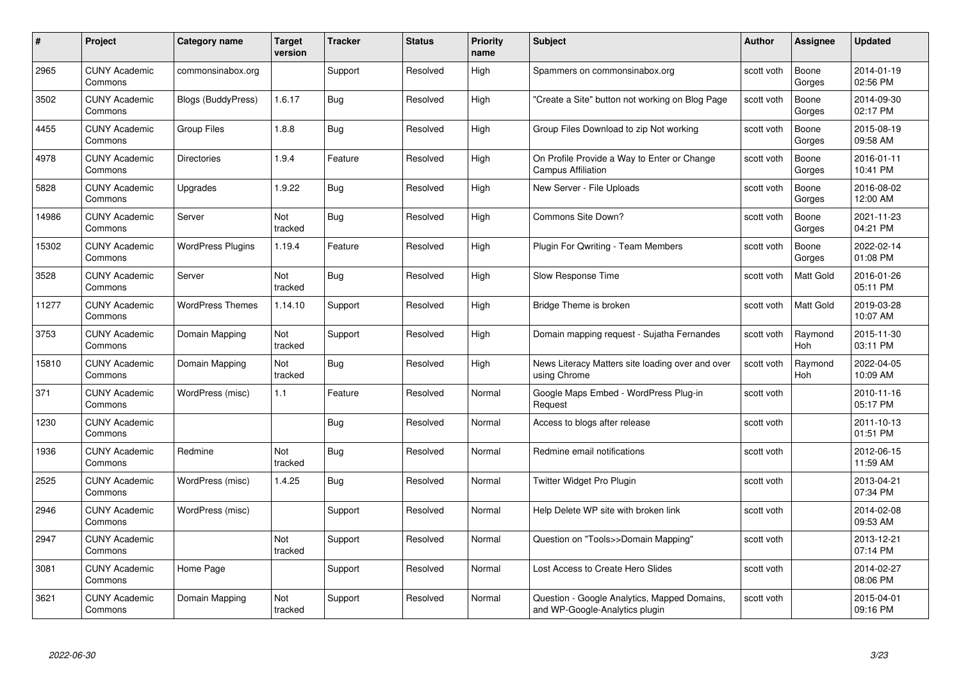| #     | Project                         | <b>Category name</b>     | <b>Target</b><br>version | <b>Tracker</b> | <b>Status</b> | <b>Priority</b><br>name | <b>Subject</b>                                                                 | <b>Author</b> | <b>Assignee</b>  | <b>Updated</b>         |
|-------|---------------------------------|--------------------------|--------------------------|----------------|---------------|-------------------------|--------------------------------------------------------------------------------|---------------|------------------|------------------------|
| 2965  | <b>CUNY Academic</b><br>Commons | commonsinabox.org        |                          | Support        | Resolved      | High                    | Spammers on commonsinabox.org                                                  | scott voth    | Boone<br>Gorges  | 2014-01-19<br>02:56 PM |
| 3502  | <b>CUNY Academic</b><br>Commons | Blogs (BuddyPress)       | 1.6.17                   | Bug            | Resolved      | High                    | "Create a Site" button not working on Blog Page                                | scott voth    | Boone<br>Gorges  | 2014-09-30<br>02:17 PM |
| 4455  | <b>CUNY Academic</b><br>Commons | <b>Group Files</b>       | 1.8.8                    | Bug            | Resolved      | High                    | Group Files Download to zip Not working                                        | scott voth    | Boone<br>Gorges  | 2015-08-19<br>09:58 AM |
| 4978  | <b>CUNY Academic</b><br>Commons | <b>Directories</b>       | 1.9.4                    | Feature        | Resolved      | High                    | On Profile Provide a Way to Enter or Change<br><b>Campus Affiliation</b>       | scott voth    | Boone<br>Gorges  | 2016-01-11<br>10:41 PM |
| 5828  | <b>CUNY Academic</b><br>Commons | Upgrades                 | 1.9.22                   | <b>Bug</b>     | Resolved      | High                    | New Server - File Uploads                                                      | scott voth    | Boone<br>Gorges  | 2016-08-02<br>12:00 AM |
| 14986 | <b>CUNY Academic</b><br>Commons | Server                   | Not<br>tracked           | <b>Bug</b>     | Resolved      | High                    | Commons Site Down?                                                             | scott voth    | Boone<br>Gorges  | 2021-11-23<br>04:21 PM |
| 15302 | <b>CUNY Academic</b><br>Commons | <b>WordPress Plugins</b> | 1.19.4                   | Feature        | Resolved      | High                    | Plugin For Qwriting - Team Members                                             | scott voth    | Boone<br>Gorges  | 2022-02-14<br>01:08 PM |
| 3528  | <b>CUNY Academic</b><br>Commons | Server                   | Not<br>tracked           | Bug            | Resolved      | High                    | Slow Response Time                                                             | scott voth    | Matt Gold        | 2016-01-26<br>05:11 PM |
| 11277 | <b>CUNY Academic</b><br>Commons | <b>WordPress Themes</b>  | 1.14.10                  | Support        | Resolved      | High                    | Bridge Theme is broken                                                         | scott voth    | <b>Matt Gold</b> | 2019-03-28<br>10:07 AM |
| 3753  | <b>CUNY Academic</b><br>Commons | Domain Mapping           | Not<br>tracked           | Support        | Resolved      | High                    | Domain mapping request - Sujatha Fernandes                                     | scott voth    | Raymond<br>Hoh   | 2015-11-30<br>03:11 PM |
| 15810 | <b>CUNY Academic</b><br>Commons | Domain Mapping           | Not<br>tracked           | <b>Bug</b>     | Resolved      | High                    | News Literacy Matters site loading over and over<br>using Chrome               | scott voth    | Raymond<br>Hoh   | 2022-04-05<br>10:09 AM |
| 371   | <b>CUNY Academic</b><br>Commons | WordPress (misc)         | 1.1                      | Feature        | Resolved      | Normal                  | Google Maps Embed - WordPress Plug-in<br>Request                               | scott voth    |                  | 2010-11-16<br>05:17 PM |
| 1230  | <b>CUNY Academic</b><br>Commons |                          |                          | Bug            | Resolved      | Normal                  | Access to blogs after release                                                  | scott voth    |                  | 2011-10-13<br>01:51 PM |
| 1936  | <b>CUNY Academic</b><br>Commons | Redmine                  | Not<br>tracked           | Bug            | Resolved      | Normal                  | Redmine email notifications                                                    | scott voth    |                  | 2012-06-15<br>11:59 AM |
| 2525  | <b>CUNY Academic</b><br>Commons | WordPress (misc)         | 1.4.25                   | Bug            | Resolved      | Normal                  | Twitter Widget Pro Plugin                                                      | scott voth    |                  | 2013-04-21<br>07:34 PM |
| 2946  | <b>CUNY Academic</b><br>Commons | WordPress (misc)         |                          | Support        | Resolved      | Normal                  | Help Delete WP site with broken link                                           | scott voth    |                  | 2014-02-08<br>09:53 AM |
| 2947  | <b>CUNY Academic</b><br>Commons |                          | Not<br>tracked           | Support        | Resolved      | Normal                  | Question on "Tools>>Domain Mapping"                                            | scott voth    |                  | 2013-12-21<br>07:14 PM |
| 3081  | <b>CUNY Academic</b><br>Commons | Home Page                |                          | Support        | Resolved      | Normal                  | Lost Access to Create Hero Slides                                              | scott voth    |                  | 2014-02-27<br>08:06 PM |
| 3621  | CUNY Academic<br>Commons        | Domain Mapping           | Not<br>tracked           | Support        | Resolved      | Normal                  | Question - Google Analytics, Mapped Domains,<br>and WP-Google-Analytics plugin | scott voth    |                  | 2015-04-01<br>09:16 PM |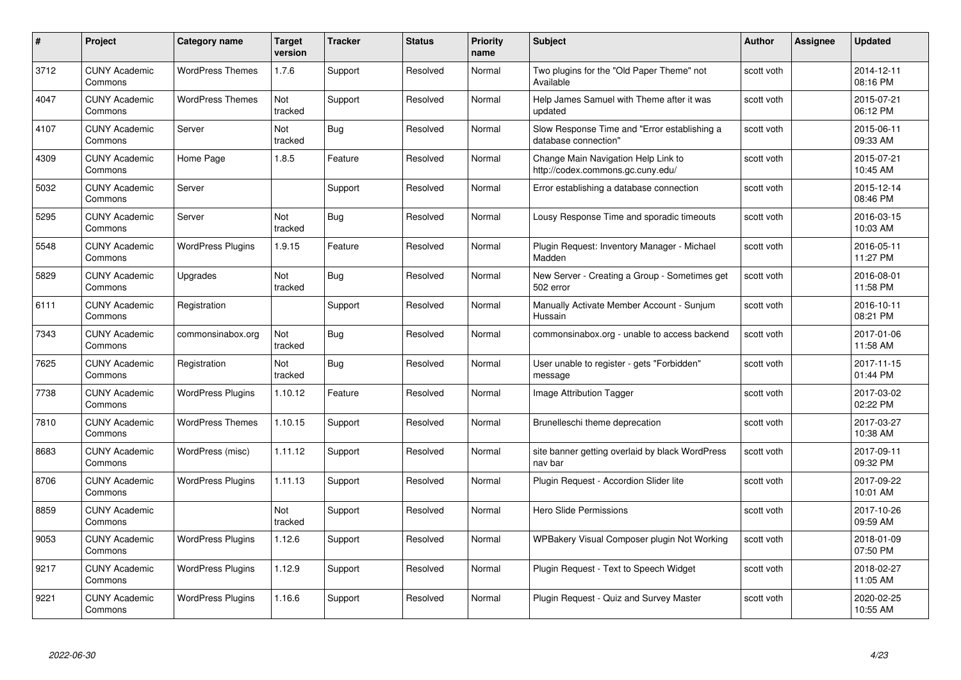| #    | Project                         | Category name            | <b>Target</b><br>version | <b>Tracker</b> | <b>Status</b> | <b>Priority</b><br>name | <b>Subject</b>                                                           | <b>Author</b> | <b>Assignee</b> | <b>Updated</b>         |
|------|---------------------------------|--------------------------|--------------------------|----------------|---------------|-------------------------|--------------------------------------------------------------------------|---------------|-----------------|------------------------|
| 3712 | <b>CUNY Academic</b><br>Commons | <b>WordPress Themes</b>  | 1.7.6                    | Support        | Resolved      | Normal                  | Two plugins for the "Old Paper Theme" not<br>Available                   | scott voth    |                 | 2014-12-11<br>08:16 PM |
| 4047 | <b>CUNY Academic</b><br>Commons | <b>WordPress Themes</b>  | Not<br>tracked           | Support        | Resolved      | Normal                  | Help James Samuel with Theme after it was<br>updated                     | scott voth    |                 | 2015-07-21<br>06:12 PM |
| 4107 | <b>CUNY Academic</b><br>Commons | Server                   | Not<br>tracked           | <b>Bug</b>     | Resolved      | Normal                  | Slow Response Time and "Error establishing a<br>database connection"     | scott voth    |                 | 2015-06-11<br>09:33 AM |
| 4309 | <b>CUNY Academic</b><br>Commons | Home Page                | 1.8.5                    | Feature        | Resolved      | Normal                  | Change Main Navigation Help Link to<br>http://codex.commons.gc.cuny.edu/ | scott voth    |                 | 2015-07-21<br>10:45 AM |
| 5032 | <b>CUNY Academic</b><br>Commons | Server                   |                          | Support        | Resolved      | Normal                  | Error establishing a database connection                                 | scott voth    |                 | 2015-12-14<br>08:46 PM |
| 5295 | <b>CUNY Academic</b><br>Commons | Server                   | Not<br>tracked           | <b>Bug</b>     | Resolved      | Normal                  | Lousy Response Time and sporadic timeouts                                | scott voth    |                 | 2016-03-15<br>10:03 AM |
| 5548 | <b>CUNY Academic</b><br>Commons | <b>WordPress Plugins</b> | 1.9.15                   | Feature        | Resolved      | Normal                  | Plugin Request: Inventory Manager - Michael<br>Madden                    | scott voth    |                 | 2016-05-11<br>11:27 PM |
| 5829 | <b>CUNY Academic</b><br>Commons | Upgrades                 | Not<br>tracked           | <b>Bug</b>     | Resolved      | Normal                  | New Server - Creating a Group - Sometimes get<br>502 error               | scott voth    |                 | 2016-08-01<br>11:58 PM |
| 6111 | <b>CUNY Academic</b><br>Commons | Registration             |                          | Support        | Resolved      | Normal                  | Manually Activate Member Account - Sunjum<br>Hussain                     | scott voth    |                 | 2016-10-11<br>08:21 PM |
| 7343 | <b>CUNY Academic</b><br>Commons | commonsinabox.org        | Not<br>tracked           | <b>Bug</b>     | Resolved      | Normal                  | commonsinabox.org - unable to access backend                             | scott voth    |                 | 2017-01-06<br>11:58 AM |
| 7625 | <b>CUNY Academic</b><br>Commons | Registration             | Not<br>tracked           | Bug            | Resolved      | Normal                  | User unable to register - gets "Forbidden"<br>message                    | scott voth    |                 | 2017-11-15<br>01:44 PM |
| 7738 | <b>CUNY Academic</b><br>Commons | <b>WordPress Plugins</b> | 1.10.12                  | Feature        | Resolved      | Normal                  | Image Attribution Tagger                                                 | scott voth    |                 | 2017-03-02<br>02:22 PM |
| 7810 | <b>CUNY Academic</b><br>Commons | <b>WordPress Themes</b>  | 1.10.15                  | Support        | Resolved      | Normal                  | Brunelleschi theme deprecation                                           | scott voth    |                 | 2017-03-27<br>10:38 AM |
| 8683 | <b>CUNY Academic</b><br>Commons | WordPress (misc)         | 1.11.12                  | Support        | Resolved      | Normal                  | site banner getting overlaid by black WordPress<br>nav bar               | scott voth    |                 | 2017-09-11<br>09:32 PM |
| 8706 | <b>CUNY Academic</b><br>Commons | <b>WordPress Plugins</b> | 1.11.13                  | Support        | Resolved      | Normal                  | Plugin Request - Accordion Slider lite                                   | scott voth    |                 | 2017-09-22<br>10:01 AM |
| 8859 | <b>CUNY Academic</b><br>Commons |                          | Not<br>tracked           | Support        | Resolved      | Normal                  | Hero Slide Permissions                                                   | scott voth    |                 | 2017-10-26<br>09:59 AM |
| 9053 | <b>CUNY Academic</b><br>Commons | <b>WordPress Plugins</b> | 1.12.6                   | Support        | Resolved      | Normal                  | WPBakery Visual Composer plugin Not Working                              | scott voth    |                 | 2018-01-09<br>07:50 PM |
| 9217 | <b>CUNY Academic</b><br>Commons | <b>WordPress Plugins</b> | 1.12.9                   | Support        | Resolved      | Normal                  | Plugin Request - Text to Speech Widget                                   | scott voth    |                 | 2018-02-27<br>11:05 AM |
| 9221 | <b>CUNY Academic</b><br>Commons | <b>WordPress Plugins</b> | 1.16.6                   | Support        | Resolved      | Normal                  | Plugin Request - Quiz and Survey Master                                  | scott voth    |                 | 2020-02-25<br>10:55 AM |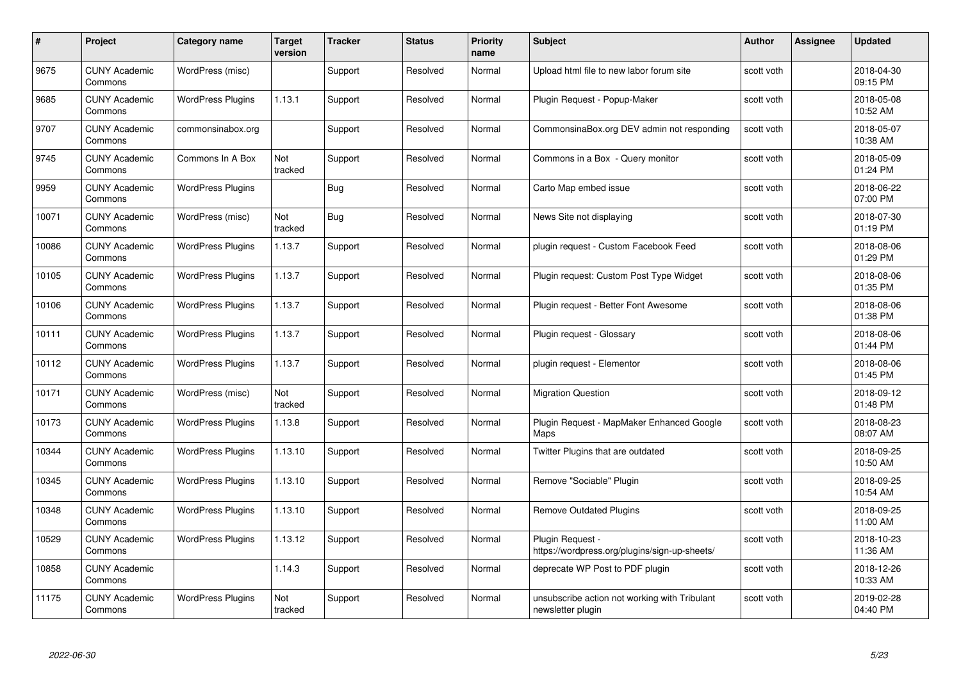| #     | Project                         | Category name            | <b>Target</b><br>version | <b>Tracker</b> | <b>Status</b> | <b>Priority</b><br>name | <b>Subject</b>                                                     | Author     | <b>Assignee</b> | <b>Updated</b>         |
|-------|---------------------------------|--------------------------|--------------------------|----------------|---------------|-------------------------|--------------------------------------------------------------------|------------|-----------------|------------------------|
| 9675  | <b>CUNY Academic</b><br>Commons | WordPress (misc)         |                          | Support        | Resolved      | Normal                  | Upload html file to new labor forum site                           | scott voth |                 | 2018-04-30<br>09:15 PM |
| 9685  | <b>CUNY Academic</b><br>Commons | <b>WordPress Plugins</b> | 1.13.1                   | Support        | Resolved      | Normal                  | Plugin Request - Popup-Maker                                       | scott voth |                 | 2018-05-08<br>10:52 AM |
| 9707  | <b>CUNY Academic</b><br>Commons | commonsinabox.org        |                          | Support        | Resolved      | Normal                  | CommonsinaBox.org DEV admin not responding                         | scott voth |                 | 2018-05-07<br>10:38 AM |
| 9745  | <b>CUNY Academic</b><br>Commons | Commons In A Box         | Not<br>tracked           | Support        | Resolved      | Normal                  | Commons in a Box - Query monitor                                   | scott voth |                 | 2018-05-09<br>01:24 PM |
| 9959  | <b>CUNY Academic</b><br>Commons | <b>WordPress Plugins</b> |                          | Bug            | Resolved      | Normal                  | Carto Map embed issue                                              | scott voth |                 | 2018-06-22<br>07:00 PM |
| 10071 | <b>CUNY Academic</b><br>Commons | WordPress (misc)         | Not<br>tracked           | <b>Bug</b>     | Resolved      | Normal                  | News Site not displaying                                           | scott voth |                 | 2018-07-30<br>01:19 PM |
| 10086 | <b>CUNY Academic</b><br>Commons | <b>WordPress Plugins</b> | 1.13.7                   | Support        | Resolved      | Normal                  | plugin request - Custom Facebook Feed                              | scott voth |                 | 2018-08-06<br>01:29 PM |
| 10105 | <b>CUNY Academic</b><br>Commons | <b>WordPress Plugins</b> | 1.13.7                   | Support        | Resolved      | Normal                  | Plugin request: Custom Post Type Widget                            | scott voth |                 | 2018-08-06<br>01:35 PM |
| 10106 | <b>CUNY Academic</b><br>Commons | <b>WordPress Plugins</b> | 1.13.7                   | Support        | Resolved      | Normal                  | Plugin request - Better Font Awesome                               | scott voth |                 | 2018-08-06<br>01:38 PM |
| 10111 | <b>CUNY Academic</b><br>Commons | <b>WordPress Plugins</b> | 1.13.7                   | Support        | Resolved      | Normal                  | Plugin request - Glossary                                          | scott voth |                 | 2018-08-06<br>01:44 PM |
| 10112 | <b>CUNY Academic</b><br>Commons | <b>WordPress Plugins</b> | 1.13.7                   | Support        | Resolved      | Normal                  | plugin request - Elementor                                         | scott voth |                 | 2018-08-06<br>01:45 PM |
| 10171 | <b>CUNY Academic</b><br>Commons | WordPress (misc)         | Not<br>tracked           | Support        | Resolved      | Normal                  | <b>Migration Question</b>                                          | scott voth |                 | 2018-09-12<br>01:48 PM |
| 10173 | <b>CUNY Academic</b><br>Commons | <b>WordPress Plugins</b> | 1.13.8                   | Support        | Resolved      | Normal                  | Plugin Request - MapMaker Enhanced Google<br>Maps                  | scott voth |                 | 2018-08-23<br>08:07 AM |
| 10344 | <b>CUNY Academic</b><br>Commons | <b>WordPress Plugins</b> | 1.13.10                  | Support        | Resolved      | Normal                  | Twitter Plugins that are outdated                                  | scott voth |                 | 2018-09-25<br>10:50 AM |
| 10345 | <b>CUNY Academic</b><br>Commons | <b>WordPress Plugins</b> | 1.13.10                  | Support        | Resolved      | Normal                  | Remove "Sociable" Plugin                                           | scott voth |                 | 2018-09-25<br>10:54 AM |
| 10348 | <b>CUNY Academic</b><br>Commons | <b>WordPress Plugins</b> | 1.13.10                  | Support        | Resolved      | Normal                  | <b>Remove Outdated Plugins</b>                                     | scott voth |                 | 2018-09-25<br>11:00 AM |
| 10529 | <b>CUNY Academic</b><br>Commons | <b>WordPress Plugins</b> | 1.13.12                  | Support        | Resolved      | Normal                  | Plugin Request -<br>https://wordpress.org/plugins/sign-up-sheets/  | scott voth |                 | 2018-10-23<br>11:36 AM |
| 10858 | <b>CUNY Academic</b><br>Commons |                          | 1.14.3                   | Support        | Resolved      | Normal                  | deprecate WP Post to PDF plugin                                    | scott voth |                 | 2018-12-26<br>10:33 AM |
| 11175 | <b>CUNY Academic</b><br>Commons | <b>WordPress Plugins</b> | Not<br>tracked           | Support        | Resolved      | Normal                  | unsubscribe action not working with Tribulant<br>newsletter plugin | scott voth |                 | 2019-02-28<br>04:40 PM |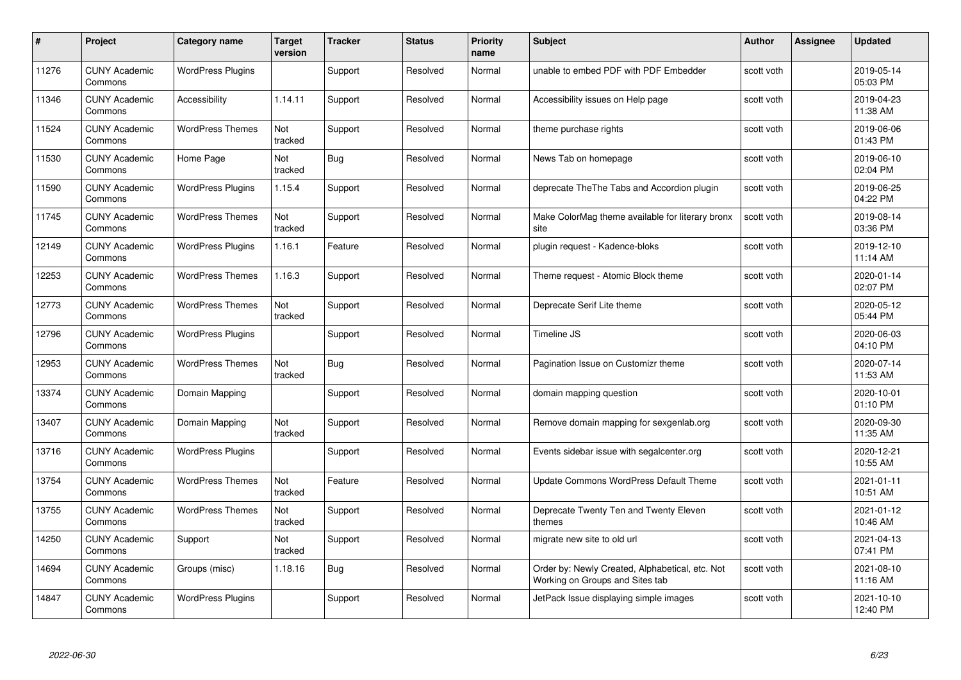| #     | Project                         | <b>Category name</b>     | Target<br>version | <b>Tracker</b> | <b>Status</b> | <b>Priority</b><br>name | <b>Subject</b>                                                                     | <b>Author</b> | <b>Assignee</b> | <b>Updated</b>         |
|-------|---------------------------------|--------------------------|-------------------|----------------|---------------|-------------------------|------------------------------------------------------------------------------------|---------------|-----------------|------------------------|
| 11276 | <b>CUNY Academic</b><br>Commons | <b>WordPress Plugins</b> |                   | Support        | Resolved      | Normal                  | unable to embed PDF with PDF Embedder                                              | scott voth    |                 | 2019-05-14<br>05:03 PM |
| 11346 | <b>CUNY Academic</b><br>Commons | Accessibility            | 1.14.11           | Support        | Resolved      | Normal                  | Accessibility issues on Help page                                                  | scott voth    |                 | 2019-04-23<br>11:38 AM |
| 11524 | <b>CUNY Academic</b><br>Commons | <b>WordPress Themes</b>  | Not<br>tracked    | Support        | Resolved      | Normal                  | theme purchase rights                                                              | scott voth    |                 | 2019-06-06<br>01:43 PM |
| 11530 | <b>CUNY Academic</b><br>Commons | Home Page                | Not<br>tracked    | Bug            | Resolved      | Normal                  | News Tab on homepage                                                               | scott voth    |                 | 2019-06-10<br>02:04 PM |
| 11590 | <b>CUNY Academic</b><br>Commons | <b>WordPress Plugins</b> | 1.15.4            | Support        | Resolved      | Normal                  | deprecate The The Tabs and Accordion plugin                                        | scott voth    |                 | 2019-06-25<br>04:22 PM |
| 11745 | <b>CUNY Academic</b><br>Commons | <b>WordPress Themes</b>  | Not<br>tracked    | Support        | Resolved      | Normal                  | Make ColorMag theme available for literary bronx<br>site                           | scott voth    |                 | 2019-08-14<br>03:36 PM |
| 12149 | <b>CUNY Academic</b><br>Commons | <b>WordPress Plugins</b> | 1.16.1            | Feature        | Resolved      | Normal                  | plugin request - Kadence-bloks                                                     | scott voth    |                 | 2019-12-10<br>11:14 AM |
| 12253 | <b>CUNY Academic</b><br>Commons | <b>WordPress Themes</b>  | 1.16.3            | Support        | Resolved      | Normal                  | Theme request - Atomic Block theme                                                 | scott voth    |                 | 2020-01-14<br>02:07 PM |
| 12773 | <b>CUNY Academic</b><br>Commons | <b>WordPress Themes</b>  | Not<br>tracked    | Support        | Resolved      | Normal                  | Deprecate Serif Lite theme                                                         | scott voth    |                 | 2020-05-12<br>05:44 PM |
| 12796 | <b>CUNY Academic</b><br>Commons | <b>WordPress Plugins</b> |                   | Support        | Resolved      | Normal                  | Timeline JS                                                                        | scott voth    |                 | 2020-06-03<br>04:10 PM |
| 12953 | <b>CUNY Academic</b><br>Commons | <b>WordPress Themes</b>  | Not<br>tracked    | Bug            | Resolved      | Normal                  | Pagination Issue on Customizr theme                                                | scott voth    |                 | 2020-07-14<br>11:53 AM |
| 13374 | <b>CUNY Academic</b><br>Commons | Domain Mapping           |                   | Support        | Resolved      | Normal                  | domain mapping question                                                            | scott voth    |                 | 2020-10-01<br>01:10 PM |
| 13407 | <b>CUNY Academic</b><br>Commons | Domain Mapping           | Not<br>tracked    | Support        | Resolved      | Normal                  | Remove domain mapping for sexgenlab.org                                            | scott voth    |                 | 2020-09-30<br>11:35 AM |
| 13716 | <b>CUNY Academic</b><br>Commons | <b>WordPress Plugins</b> |                   | Support        | Resolved      | Normal                  | Events sidebar issue with segalcenter.org                                          | scott voth    |                 | 2020-12-21<br>10:55 AM |
| 13754 | <b>CUNY Academic</b><br>Commons | <b>WordPress Themes</b>  | Not<br>tracked    | Feature        | Resolved      | Normal                  | Update Commons WordPress Default Theme                                             | scott voth    |                 | 2021-01-11<br>10:51 AM |
| 13755 | <b>CUNY Academic</b><br>Commons | <b>WordPress Themes</b>  | Not<br>tracked    | Support        | Resolved      | Normal                  | Deprecate Twenty Ten and Twenty Eleven<br>themes                                   | scott voth    |                 | 2021-01-12<br>10:46 AM |
| 14250 | <b>CUNY Academic</b><br>Commons | Support                  | Not<br>tracked    | Support        | Resolved      | Normal                  | migrate new site to old url                                                        | scott voth    |                 | 2021-04-13<br>07:41 PM |
| 14694 | <b>CUNY Academic</b><br>Commons | Groups (misc)            | 1.18.16           | Bug            | Resolved      | Normal                  | Order by: Newly Created, Alphabetical, etc. Not<br>Working on Groups and Sites tab | scott voth    |                 | 2021-08-10<br>11:16 AM |
| 14847 | CUNY Academic<br>Commons        | <b>WordPress Plugins</b> |                   | Support        | Resolved      | Normal                  | JetPack Issue displaying simple images                                             | scott voth    |                 | 2021-10-10<br>12:40 PM |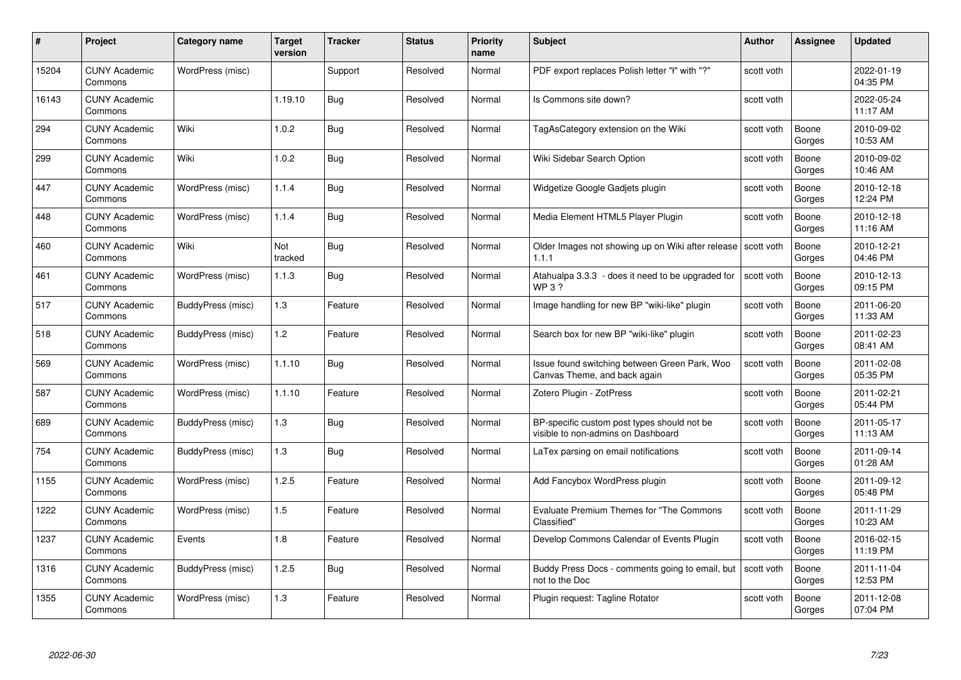| #     | Project                         | <b>Category name</b> | <b>Target</b><br>version | <b>Tracker</b> | <b>Status</b> | <b>Priority</b><br>name | <b>Subject</b>                                                                    | <b>Author</b> | <b>Assignee</b> | <b>Updated</b>         |
|-------|---------------------------------|----------------------|--------------------------|----------------|---------------|-------------------------|-----------------------------------------------------------------------------------|---------------|-----------------|------------------------|
| 15204 | <b>CUNY Academic</b><br>Commons | WordPress (misc)     |                          | Support        | Resolved      | Normal                  | PDF export replaces Polish letter "I" with "?"                                    | scott voth    |                 | 2022-01-19<br>04:35 PM |
| 16143 | <b>CUNY Academic</b><br>Commons |                      | 1.19.10                  | <b>Bug</b>     | Resolved      | Normal                  | Is Commons site down?                                                             | scott voth    |                 | 2022-05-24<br>11:17 AM |
| 294   | <b>CUNY Academic</b><br>Commons | Wiki                 | 1.0.2                    | <b>Bug</b>     | Resolved      | Normal                  | TagAsCategory extension on the Wiki                                               | scott voth    | Boone<br>Gorges | 2010-09-02<br>10:53 AM |
| 299   | <b>CUNY Academic</b><br>Commons | Wiki                 | 1.0.2                    | Bug            | Resolved      | Normal                  | Wiki Sidebar Search Option                                                        | scott voth    | Boone<br>Gorges | 2010-09-02<br>10:46 AM |
| 447   | <b>CUNY Academic</b><br>Commons | WordPress (misc)     | 1.1.4                    | Bug            | Resolved      | Normal                  | Widgetize Google Gadjets plugin                                                   | scott voth    | Boone<br>Gorges | 2010-12-18<br>12:24 PM |
| 448   | <b>CUNY Academic</b><br>Commons | WordPress (misc)     | 1.1.4                    | <b>Bug</b>     | Resolved      | Normal                  | Media Element HTML5 Player Plugin                                                 | scott voth    | Boone<br>Gorges | 2010-12-18<br>11:16 AM |
| 460   | <b>CUNY Academic</b><br>Commons | Wiki                 | Not<br>tracked           | Bug            | Resolved      | Normal                  | Older Images not showing up on Wiki after release Scott voth<br>1.1.1             |               | Boone<br>Gorges | 2010-12-21<br>04:46 PM |
| 461   | <b>CUNY Academic</b><br>Commons | WordPress (misc)     | 1.1.3                    | <b>Bug</b>     | Resolved      | Normal                  | Atahualpa 3.3.3 - does it need to be upgraded for<br>WP 3 ?                       | scott voth    | Boone<br>Gorges | 2010-12-13<br>09:15 PM |
| 517   | <b>CUNY Academic</b><br>Commons | BuddyPress (misc)    | 1.3                      | Feature        | Resolved      | Normal                  | Image handling for new BP "wiki-like" plugin                                      | scott voth    | Boone<br>Gorges | 2011-06-20<br>11:33 AM |
| 518   | <b>CUNY Academic</b><br>Commons | BuddyPress (misc)    | 1.2                      | Feature        | Resolved      | Normal                  | Search box for new BP "wiki-like" plugin                                          | scott voth    | Boone<br>Gorges | 2011-02-23<br>08:41 AM |
| 569   | <b>CUNY Academic</b><br>Commons | WordPress (misc)     | 1.1.10                   | <b>Bug</b>     | Resolved      | Normal                  | Issue found switching between Green Park, Woo<br>Canvas Theme, and back again     | scott voth    | Boone<br>Gorges | 2011-02-08<br>05:35 PM |
| 587   | <b>CUNY Academic</b><br>Commons | WordPress (misc)     | 1.1.10                   | Feature        | Resolved      | Normal                  | Zotero Plugin - ZotPress                                                          | scott voth    | Boone<br>Gorges | 2011-02-21<br>05:44 PM |
| 689   | <b>CUNY Academic</b><br>Commons | BuddyPress (misc)    | 1.3                      | <b>Bug</b>     | Resolved      | Normal                  | BP-specific custom post types should not be<br>visible to non-admins on Dashboard | scott voth    | Boone<br>Gorges | 2011-05-17<br>11:13 AM |
| 754   | <b>CUNY Academic</b><br>Commons | BuddyPress (misc)    | 1.3                      | Bug            | Resolved      | Normal                  | LaTex parsing on email notifications                                              | scott voth    | Boone<br>Gorges | 2011-09-14<br>01:28 AM |
| 1155  | <b>CUNY Academic</b><br>Commons | WordPress (misc)     | 1.2.5                    | Feature        | Resolved      | Normal                  | Add Fancybox WordPress plugin                                                     | scott voth    | Boone<br>Gorges | 2011-09-12<br>05:48 PM |
| 1222  | <b>CUNY Academic</b><br>Commons | WordPress (misc)     | 1.5                      | Feature        | Resolved      | Normal                  | <b>Evaluate Premium Themes for "The Commons</b><br>Classified"                    | scott voth    | Boone<br>Gorges | 2011-11-29<br>10:23 AM |
| 1237  | <b>CUNY Academic</b><br>Commons | Events               | 1.8                      | Feature        | Resolved      | Normal                  | Develop Commons Calendar of Events Plugin                                         | scott voth    | Boone<br>Gorges | 2016-02-15<br>11:19 PM |
| 1316  | <b>CUNY Academic</b><br>Commons | BuddyPress (misc)    | 1.2.5                    | <b>Bug</b>     | Resolved      | Normal                  | Buddy Press Docs - comments going to email, but<br>not to the Doc                 | scott voth    | Boone<br>Gorges | 2011-11-04<br>12:53 PM |
| 1355  | <b>CUNY Academic</b><br>Commons | WordPress (misc)     | 1.3                      | Feature        | Resolved      | Normal                  | Plugin request: Tagline Rotator                                                   | scott voth    | Boone<br>Gorges | 2011-12-08<br>07:04 PM |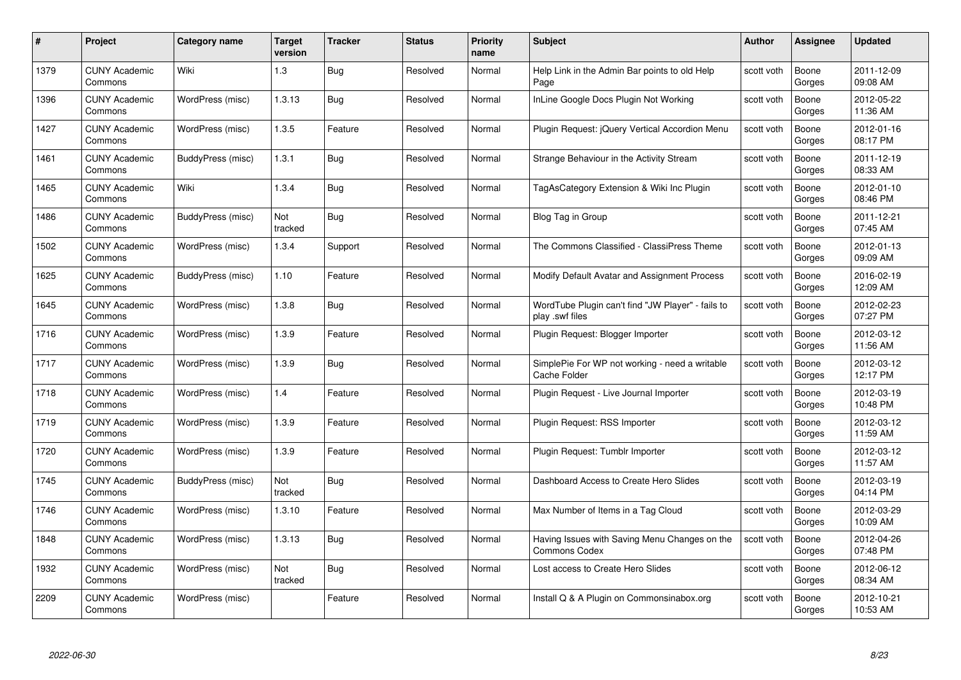| #    | Project                         | <b>Category name</b> | Target<br>version | <b>Tracker</b> | <b>Status</b> | <b>Priority</b><br>name | <b>Subject</b>                                                        | <b>Author</b> | <b>Assignee</b> | <b>Updated</b>         |
|------|---------------------------------|----------------------|-------------------|----------------|---------------|-------------------------|-----------------------------------------------------------------------|---------------|-----------------|------------------------|
| 1379 | <b>CUNY Academic</b><br>Commons | Wiki                 | $1.3$             | Bug            | Resolved      | Normal                  | Help Link in the Admin Bar points to old Help<br>Page                 | scott voth    | Boone<br>Gorges | 2011-12-09<br>09:08 AM |
| 1396 | <b>CUNY Academic</b><br>Commons | WordPress (misc)     | 1.3.13            | <b>Bug</b>     | Resolved      | Normal                  | InLine Google Docs Plugin Not Working                                 | scott voth    | Boone<br>Gorges | 2012-05-22<br>11:36 AM |
| 1427 | <b>CUNY Academic</b><br>Commons | WordPress (misc)     | 1.3.5             | Feature        | Resolved      | Normal                  | Plugin Request: jQuery Vertical Accordion Menu                        | scott voth    | Boone<br>Gorges | 2012-01-16<br>08:17 PM |
| 1461 | <b>CUNY Academic</b><br>Commons | BuddyPress (misc)    | 1.3.1             | Bug            | Resolved      | Normal                  | Strange Behaviour in the Activity Stream                              | scott voth    | Boone<br>Gorges | 2011-12-19<br>08:33 AM |
| 1465 | <b>CUNY Academic</b><br>Commons | Wiki                 | 1.3.4             | <b>Bug</b>     | Resolved      | Normal                  | TagAsCategory Extension & Wiki Inc Plugin                             | scott voth    | Boone<br>Gorges | 2012-01-10<br>08:46 PM |
| 1486 | <b>CUNY Academic</b><br>Commons | BuddyPress (misc)    | Not<br>tracked    | <b>Bug</b>     | Resolved      | Normal                  | Blog Tag in Group                                                     | scott voth    | Boone<br>Gorges | 2011-12-21<br>07:45 AM |
| 1502 | <b>CUNY Academic</b><br>Commons | WordPress (misc)     | 1.3.4             | Support        | Resolved      | Normal                  | The Commons Classified - ClassiPress Theme                            | scott voth    | Boone<br>Gorges | 2012-01-13<br>09:09 AM |
| 1625 | <b>CUNY Academic</b><br>Commons | BuddyPress (misc)    | 1.10              | Feature        | Resolved      | Normal                  | Modify Default Avatar and Assignment Process                          | scott voth    | Boone<br>Gorges | 2016-02-19<br>12:09 AM |
| 1645 | <b>CUNY Academic</b><br>Commons | WordPress (misc)     | 1.3.8             | Bug            | Resolved      | Normal                  | WordTube Plugin can't find "JW Player" - fails to<br>play .swf files  | scott voth    | Boone<br>Gorges | 2012-02-23<br>07:27 PM |
| 1716 | <b>CUNY Academic</b><br>Commons | WordPress (misc)     | 1.3.9             | Feature        | Resolved      | Normal                  | Plugin Request: Blogger Importer                                      | scott voth    | Boone<br>Gorges | 2012-03-12<br>11:56 AM |
| 1717 | <b>CUNY Academic</b><br>Commons | WordPress (misc)     | 1.3.9             | <b>Bug</b>     | Resolved      | Normal                  | SimplePie For WP not working - need a writable<br>Cache Folder        | scott voth    | Boone<br>Gorges | 2012-03-12<br>12:17 PM |
| 1718 | <b>CUNY Academic</b><br>Commons | WordPress (misc)     | 1.4               | Feature        | Resolved      | Normal                  | Plugin Request - Live Journal Importer                                | scott voth    | Boone<br>Gorges | 2012-03-19<br>10:48 PM |
| 1719 | <b>CUNY Academic</b><br>Commons | WordPress (misc)     | 1.3.9             | Feature        | Resolved      | Normal                  | Plugin Request: RSS Importer                                          | scott voth    | Boone<br>Gorges | 2012-03-12<br>11:59 AM |
| 1720 | <b>CUNY Academic</b><br>Commons | WordPress (misc)     | 1.3.9             | Feature        | Resolved      | Normal                  | Plugin Request: Tumblr Importer                                       | scott voth    | Boone<br>Gorges | 2012-03-12<br>11:57 AM |
| 1745 | <b>CUNY Academic</b><br>Commons | BuddyPress (misc)    | Not<br>tracked    | <b>Bug</b>     | Resolved      | Normal                  | Dashboard Access to Create Hero Slides                                | scott voth    | Boone<br>Gorges | 2012-03-19<br>04:14 PM |
| 1746 | <b>CUNY Academic</b><br>Commons | WordPress (misc)     | 1.3.10            | Feature        | Resolved      | Normal                  | Max Number of Items in a Tag Cloud                                    | scott voth    | Boone<br>Gorges | 2012-03-29<br>10:09 AM |
| 1848 | <b>CUNY Academic</b><br>Commons | WordPress (misc)     | 1.3.13            | Bug            | Resolved      | Normal                  | Having Issues with Saving Menu Changes on the<br><b>Commons Codex</b> | scott voth    | Boone<br>Gorges | 2012-04-26<br>07:48 PM |
| 1932 | <b>CUNY Academic</b><br>Commons | WordPress (misc)     | Not<br>tracked    | <b>Bug</b>     | Resolved      | Normal                  | Lost access to Create Hero Slides                                     | scott voth    | Boone<br>Gorges | 2012-06-12<br>08:34 AM |
| 2209 | CUNY Academic<br>Commons        | WordPress (misc)     |                   | Feature        | Resolved      | Normal                  | Install Q & A Plugin on Commonsinabox.org                             | scott voth    | Boone<br>Gorges | 2012-10-21<br>10:53 AM |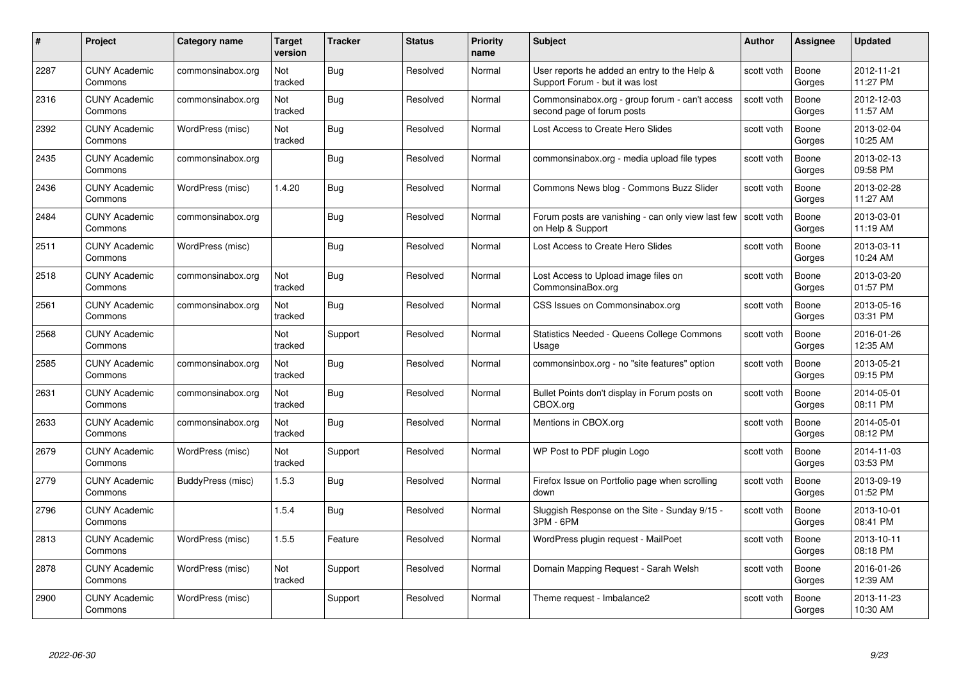| #    | Project                         | <b>Category name</b> | Target<br>version | <b>Tracker</b> | <b>Status</b> | <b>Priority</b><br>name | <b>Subject</b>                                                                  | <b>Author</b> | <b>Assignee</b> | <b>Updated</b>         |
|------|---------------------------------|----------------------|-------------------|----------------|---------------|-------------------------|---------------------------------------------------------------------------------|---------------|-----------------|------------------------|
| 2287 | <b>CUNY Academic</b><br>Commons | commonsinabox.org    | Not<br>tracked    | Bug            | Resolved      | Normal                  | User reports he added an entry to the Help &<br>Support Forum - but it was lost | scott voth    | Boone<br>Gorges | 2012-11-21<br>11:27 PM |
| 2316 | <b>CUNY Academic</b><br>Commons | commonsinabox.org    | Not<br>tracked    | <b>Bug</b>     | Resolved      | Normal                  | Commonsinabox.org - group forum - can't access<br>second page of forum posts    | scott voth    | Boone<br>Gorges | 2012-12-03<br>11:57 AM |
| 2392 | <b>CUNY Academic</b><br>Commons | WordPress (misc)     | Not<br>tracked    | Bug            | Resolved      | Normal                  | Lost Access to Create Hero Slides                                               | scott voth    | Boone<br>Gorges | 2013-02-04<br>10:25 AM |
| 2435 | <b>CUNY Academic</b><br>Commons | commonsinabox.org    |                   | Bug            | Resolved      | Normal                  | commonsinabox.org - media upload file types                                     | scott voth    | Boone<br>Gorges | 2013-02-13<br>09:58 PM |
| 2436 | <b>CUNY Academic</b><br>Commons | WordPress (misc)     | 1.4.20            | Bug            | Resolved      | Normal                  | Commons News blog - Commons Buzz Slider                                         | scott voth    | Boone<br>Gorges | 2013-02-28<br>11:27 AM |
| 2484 | <b>CUNY Academic</b><br>Commons | commonsinabox.org    |                   | Bug            | Resolved      | Normal                  | Forum posts are vanishing - can only view last few<br>on Help & Support         | scott voth    | Boone<br>Gorges | 2013-03-01<br>11:19 AM |
| 2511 | <b>CUNY Academic</b><br>Commons | WordPress (misc)     |                   | Bug            | Resolved      | Normal                  | Lost Access to Create Hero Slides                                               | scott voth    | Boone<br>Gorges | 2013-03-11<br>10:24 AM |
| 2518 | <b>CUNY Academic</b><br>Commons | commonsinabox.org    | Not<br>tracked    | Bug            | Resolved      | Normal                  | Lost Access to Upload image files on<br>CommonsinaBox.org                       | scott voth    | Boone<br>Gorges | 2013-03-20<br>01:57 PM |
| 2561 | <b>CUNY Academic</b><br>Commons | commonsinabox.org    | Not<br>tracked    | <b>Bug</b>     | Resolved      | Normal                  | CSS Issues on Commonsinabox.org                                                 | scott voth    | Boone<br>Gorges | 2013-05-16<br>03:31 PM |
| 2568 | <b>CUNY Academic</b><br>Commons |                      | Not<br>tracked    | Support        | Resolved      | Normal                  | <b>Statistics Needed - Queens College Commons</b><br>Usage                      | scott voth    | Boone<br>Gorges | 2016-01-26<br>12:35 AM |
| 2585 | CUNY Academic<br>Commons        | commonsinabox.org    | Not<br>tracked    | Bug            | Resolved      | Normal                  | commonsinbox.org - no "site features" option                                    | scott voth    | Boone<br>Gorges | 2013-05-21<br>09:15 PM |
| 2631 | <b>CUNY Academic</b><br>Commons | commonsinabox.org    | Not<br>tracked    | <b>Bug</b>     | Resolved      | Normal                  | Bullet Points don't display in Forum posts on<br>CBOX.org                       | scott voth    | Boone<br>Gorges | 2014-05-01<br>08:11 PM |
| 2633 | <b>CUNY Academic</b><br>Commons | commonsinabox.org    | Not<br>tracked    | <b>Bug</b>     | Resolved      | Normal                  | Mentions in CBOX.org                                                            | scott voth    | Boone<br>Gorges | 2014-05-01<br>08:12 PM |
| 2679 | <b>CUNY Academic</b><br>Commons | WordPress (misc)     | Not<br>tracked    | Support        | Resolved      | Normal                  | WP Post to PDF plugin Logo                                                      | scott voth    | Boone<br>Gorges | 2014-11-03<br>03:53 PM |
| 2779 | <b>CUNY Academic</b><br>Commons | BuddyPress (misc)    | 1.5.3             | Bug            | Resolved      | Normal                  | Firefox Issue on Portfolio page when scrolling<br>down                          | scott voth    | Boone<br>Gorges | 2013-09-19<br>01:52 PM |
| 2796 | <b>CUNY Academic</b><br>Commons |                      | 1.5.4             | Bug            | Resolved      | Normal                  | Sluggish Response on the Site - Sunday 9/15 -<br>3PM - 6PM                      | scott voth    | Boone<br>Gorges | 2013-10-01<br>08:41 PM |
| 2813 | <b>CUNY Academic</b><br>Commons | WordPress (misc)     | 1.5.5             | Feature        | Resolved      | Normal                  | WordPress plugin request - MailPoet                                             | scott voth    | Boone<br>Gorges | 2013-10-11<br>08:18 PM |
| 2878 | <b>CUNY Academic</b><br>Commons | WordPress (misc)     | Not<br>tracked    | Support        | Resolved      | Normal                  | Domain Mapping Request - Sarah Welsh                                            | scott voth    | Boone<br>Gorges | 2016-01-26<br>12:39 AM |
| 2900 | <b>CUNY Academic</b><br>Commons | WordPress (misc)     |                   | Support        | Resolved      | Normal                  | Theme request - Imbalance2                                                      | scott voth    | Boone<br>Gorges | 2013-11-23<br>10:30 AM |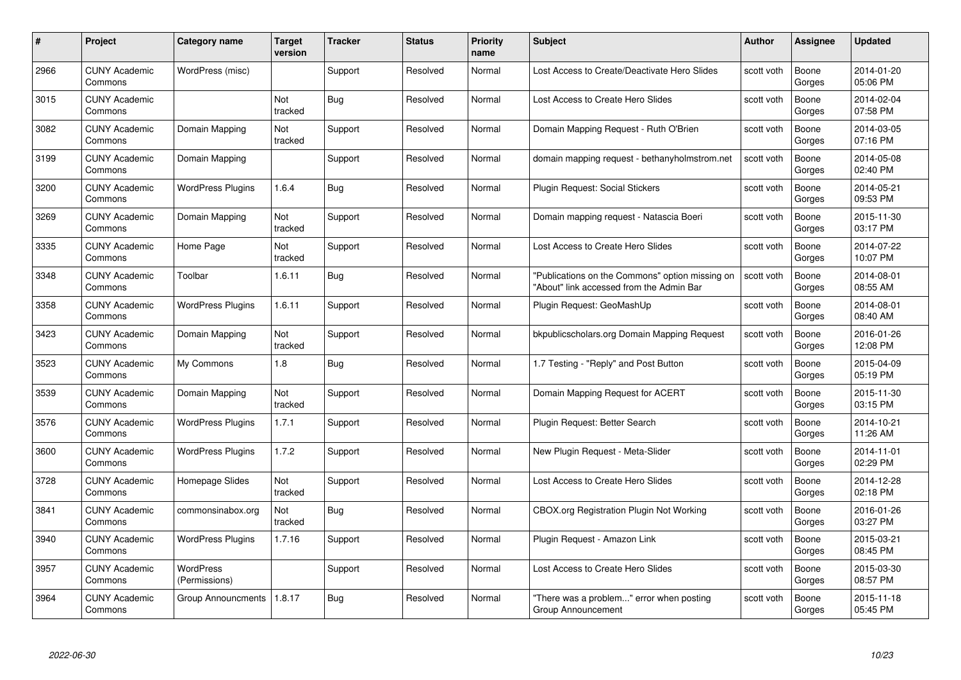| #    | Project                         | <b>Category name</b>       | Target<br>version | <b>Tracker</b> | <b>Status</b> | <b>Priority</b><br>name | <b>Subject</b>                                                                              | <b>Author</b> | <b>Assignee</b> | <b>Updated</b>         |
|------|---------------------------------|----------------------------|-------------------|----------------|---------------|-------------------------|---------------------------------------------------------------------------------------------|---------------|-----------------|------------------------|
| 2966 | <b>CUNY Academic</b><br>Commons | WordPress (misc)           |                   | Support        | Resolved      | Normal                  | Lost Access to Create/Deactivate Hero Slides                                                | scott voth    | Boone<br>Gorges | 2014-01-20<br>05:06 PM |
| 3015 | <b>CUNY Academic</b><br>Commons |                            | Not<br>tracked    | <b>Bug</b>     | Resolved      | Normal                  | Lost Access to Create Hero Slides                                                           | scott voth    | Boone<br>Gorges | 2014-02-04<br>07:58 PM |
| 3082 | <b>CUNY Academic</b><br>Commons | Domain Mapping             | Not<br>tracked    | Support        | Resolved      | Normal                  | Domain Mapping Request - Ruth O'Brien                                                       | scott voth    | Boone<br>Gorges | 2014-03-05<br>07:16 PM |
| 3199 | <b>CUNY Academic</b><br>Commons | Domain Mapping             |                   | Support        | Resolved      | Normal                  | domain mapping request - bethanyholmstrom.net                                               | scott voth    | Boone<br>Gorges | 2014-05-08<br>02:40 PM |
| 3200 | CUNY Academic<br>Commons        | <b>WordPress Plugins</b>   | 1.6.4             | Bug            | Resolved      | Normal                  | <b>Plugin Request: Social Stickers</b>                                                      | scott voth    | Boone<br>Gorges | 2014-05-21<br>09:53 PM |
| 3269 | <b>CUNY Academic</b><br>Commons | Domain Mapping             | Not<br>tracked    | Support        | Resolved      | Normal                  | Domain mapping request - Natascia Boeri                                                     | scott voth    | Boone<br>Gorges | 2015-11-30<br>03:17 PM |
| 3335 | <b>CUNY Academic</b><br>Commons | Home Page                  | Not<br>tracked    | Support        | Resolved      | Normal                  | Lost Access to Create Hero Slides                                                           | scott voth    | Boone<br>Gorges | 2014-07-22<br>10:07 PM |
| 3348 | <b>CUNY Academic</b><br>Commons | Toolbar                    | 1.6.11            | Bug            | Resolved      | Normal                  | "Publications on the Commons" option missing on<br>"About" link accessed from the Admin Bar | scott voth    | Boone<br>Gorges | 2014-08-01<br>08:55 AM |
| 3358 | <b>CUNY Academic</b><br>Commons | <b>WordPress Plugins</b>   | 1.6.11            | Support        | Resolved      | Normal                  | Plugin Request: GeoMashUp                                                                   | scott voth    | Boone<br>Gorges | 2014-08-01<br>08:40 AM |
| 3423 | <b>CUNY Academic</b><br>Commons | Domain Mapping             | Not<br>tracked    | Support        | Resolved      | Normal                  | bkpublicscholars.org Domain Mapping Request                                                 | scott voth    | Boone<br>Gorges | 2016-01-26<br>12:08 PM |
| 3523 | CUNY Academic<br>Commons        | My Commons                 | 1.8               | Bug            | Resolved      | Normal                  | 1.7 Testing - "Reply" and Post Button                                                       | scott voth    | Boone<br>Gorges | 2015-04-09<br>05:19 PM |
| 3539 | <b>CUNY Academic</b><br>Commons | Domain Mapping             | Not<br>tracked    | Support        | Resolved      | Normal                  | Domain Mapping Request for ACERT                                                            | scott voth    | Boone<br>Gorges | 2015-11-30<br>03:15 PM |
| 3576 | <b>CUNY Academic</b><br>Commons | <b>WordPress Plugins</b>   | 1.7.1             | Support        | Resolved      | Normal                  | Plugin Request: Better Search                                                               | scott voth    | Boone<br>Gorges | 2014-10-21<br>11:26 AM |
| 3600 | <b>CUNY Academic</b><br>Commons | <b>WordPress Plugins</b>   | 1.7.2             | Support        | Resolved      | Normal                  | New Plugin Request - Meta-Slider                                                            | scott voth    | Boone<br>Gorges | 2014-11-01<br>02:29 PM |
| 3728 | <b>CUNY Academic</b><br>Commons | Homepage Slides            | Not<br>tracked    | Support        | Resolved      | Normal                  | Lost Access to Create Hero Slides                                                           | scott voth    | Boone<br>Gorges | 2014-12-28<br>02:18 PM |
| 3841 | <b>CUNY Academic</b><br>Commons | commonsinabox.org          | Not<br>tracked    | <b>Bug</b>     | Resolved      | Normal                  | CBOX.org Registration Plugin Not Working                                                    | scott voth    | Boone<br>Gorges | 2016-01-26<br>03:27 PM |
| 3940 | <b>CUNY Academic</b><br>Commons | <b>WordPress Plugins</b>   | 1.7.16            | Support        | Resolved      | Normal                  | Plugin Request - Amazon Link                                                                | scott voth    | Boone<br>Gorges | 2015-03-21<br>08:45 PM |
| 3957 | <b>CUNY Academic</b><br>Commons | WordPress<br>(Permissions) |                   | Support        | Resolved      | Normal                  | Lost Access to Create Hero Slides                                                           | scott voth    | Boone<br>Gorges | 2015-03-30<br>08:57 PM |
| 3964 | CUNY Academic<br>Commons        | Group Announcments         | 1.8.17            | Bug            | Resolved      | Normal                  | "There was a problem" error when posting<br>Group Announcement                              | scott voth    | Boone<br>Gorges | 2015-11-18<br>05:45 PM |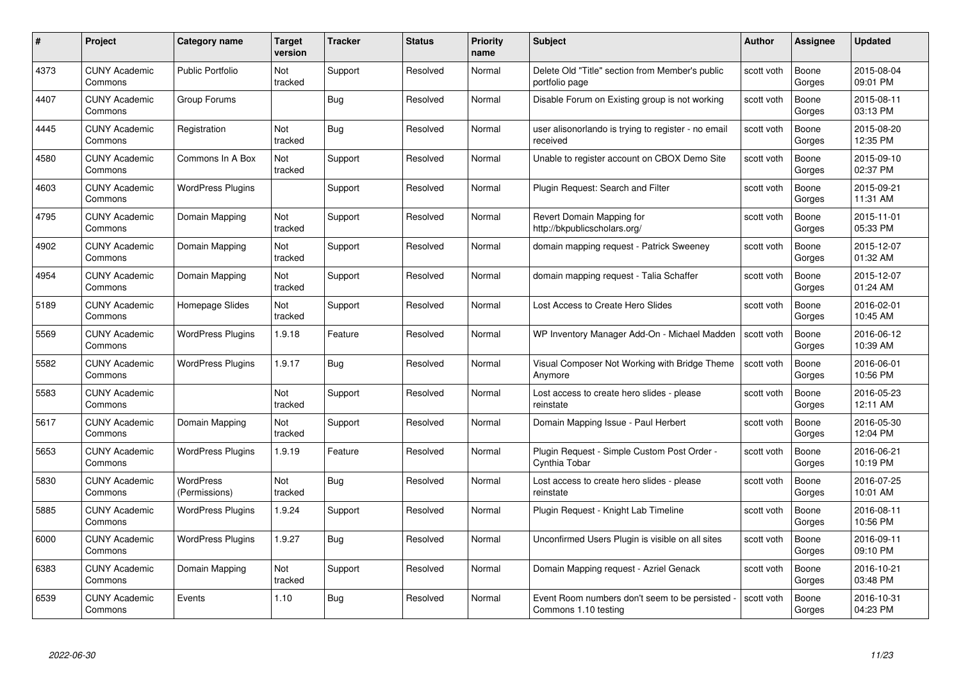| #    | Project                         | <b>Category name</b>              | Target<br>version     | <b>Tracker</b> | <b>Status</b> | <b>Priority</b><br>name | <b>Subject</b>                                                        | <b>Author</b> | <b>Assignee</b> | <b>Updated</b>         |
|------|---------------------------------|-----------------------------------|-----------------------|----------------|---------------|-------------------------|-----------------------------------------------------------------------|---------------|-----------------|------------------------|
| 4373 | <b>CUNY Academic</b><br>Commons | <b>Public Portfolio</b>           | Not<br>tracked        | Support        | Resolved      | Normal                  | Delete Old "Title" section from Member's public<br>portfolio page     | scott voth    | Boone<br>Gorges | 2015-08-04<br>09:01 PM |
| 4407 | <b>CUNY Academic</b><br>Commons | Group Forums                      |                       | <b>Bug</b>     | Resolved      | Normal                  | Disable Forum on Existing group is not working                        | scott voth    | Boone<br>Gorges | 2015-08-11<br>03:13 PM |
| 4445 | <b>CUNY Academic</b><br>Commons | Registration                      | <b>Not</b><br>tracked | Bug            | Resolved      | Normal                  | user alisonorlando is trying to register - no email<br>received       | scott voth    | Boone<br>Gorges | 2015-08-20<br>12:35 PM |
| 4580 | <b>CUNY Academic</b><br>Commons | Commons In A Box                  | Not<br>tracked        | Support        | Resolved      | Normal                  | Unable to register account on CBOX Demo Site                          | scott voth    | Boone<br>Gorges | 2015-09-10<br>02:37 PM |
| 4603 | CUNY Academic<br>Commons        | <b>WordPress Plugins</b>          |                       | Support        | Resolved      | Normal                  | Plugin Request: Search and Filter                                     | scott voth    | Boone<br>Gorges | 2015-09-21<br>11:31 AM |
| 4795 | <b>CUNY Academic</b><br>Commons | Domain Mapping                    | Not<br>tracked        | Support        | Resolved      | Normal                  | Revert Domain Mapping for<br>http://bkpublicscholars.org/             | scott voth    | Boone<br>Gorges | 2015-11-01<br>05:33 PM |
| 4902 | <b>CUNY Academic</b><br>Commons | Domain Mapping                    | Not<br>tracked        | Support        | Resolved      | Normal                  | domain mapping reguest - Patrick Sweeney                              | scott voth    | Boone<br>Gorges | 2015-12-07<br>01:32 AM |
| 4954 | <b>CUNY Academic</b><br>Commons | Domain Mapping                    | Not<br>tracked        | Support        | Resolved      | Normal                  | domain mapping request - Talia Schaffer                               | scott voth    | Boone<br>Gorges | 2015-12-07<br>01:24 AM |
| 5189 | <b>CUNY Academic</b><br>Commons | Homepage Slides                   | Not<br>tracked        | Support        | Resolved      | Normal                  | Lost Access to Create Hero Slides                                     | scott voth    | Boone<br>Gorges | 2016-02-01<br>10:45 AM |
| 5569 | <b>CUNY Academic</b><br>Commons | <b>WordPress Plugins</b>          | 1.9.18                | Feature        | Resolved      | Normal                  | WP Inventory Manager Add-On - Michael Madden                          | scott voth    | Boone<br>Gorges | 2016-06-12<br>10:39 AM |
| 5582 | CUNY Academic<br>Commons        | <b>WordPress Plugins</b>          | 1.9.17                | Bug            | Resolved      | Normal                  | Visual Composer Not Working with Bridge Theme<br>Anymore              | scott voth    | Boone<br>Gorges | 2016-06-01<br>10:56 PM |
| 5583 | <b>CUNY Academic</b><br>Commons |                                   | Not<br>tracked        | Support        | Resolved      | Normal                  | Lost access to create hero slides - please<br>reinstate               | scott voth    | Boone<br>Gorges | 2016-05-23<br>12:11 AM |
| 5617 | <b>CUNY Academic</b><br>Commons | Domain Mapping                    | Not<br>tracked        | Support        | Resolved      | Normal                  | Domain Mapping Issue - Paul Herbert                                   | scott voth    | Boone<br>Gorges | 2016-05-30<br>12:04 PM |
| 5653 | <b>CUNY Academic</b><br>Commons | <b>WordPress Plugins</b>          | 1.9.19                | Feature        | Resolved      | Normal                  | Plugin Request - Simple Custom Post Order -<br>Cynthia Tobar          | scott voth    | Boone<br>Gorges | 2016-06-21<br>10:19 PM |
| 5830 | <b>CUNY Academic</b><br>Commons | <b>WordPress</b><br>(Permissions) | Not<br>tracked        | Bug            | Resolved      | Normal                  | Lost access to create hero slides - please<br>reinstate               | scott voth    | Boone<br>Gorges | 2016-07-25<br>10:01 AM |
| 5885 | <b>CUNY Academic</b><br>Commons | <b>WordPress Plugins</b>          | 1.9.24                | Support        | Resolved      | Normal                  | Plugin Request - Knight Lab Timeline                                  | scott voth    | Boone<br>Gorges | 2016-08-11<br>10:56 PM |
| 6000 | <b>CUNY Academic</b><br>Commons | <b>WordPress Plugins</b>          | 1.9.27                | <b>Bug</b>     | Resolved      | Normal                  | Unconfirmed Users Plugin is visible on all sites                      | scott voth    | Boone<br>Gorges | 2016-09-11<br>09:10 PM |
| 6383 | <b>CUNY Academic</b><br>Commons | Domain Mapping                    | Not<br>tracked        | Support        | Resolved      | Normal                  | Domain Mapping request - Azriel Genack                                | scott voth    | Boone<br>Gorges | 2016-10-21<br>03:48 PM |
| 6539 | <b>CUNY Academic</b><br>Commons | Events                            | 1.10                  | Bug            | Resolved      | Normal                  | Event Room numbers don't seem to be persisted<br>Commons 1.10 testing | scott voth    | Boone<br>Gorges | 2016-10-31<br>04:23 PM |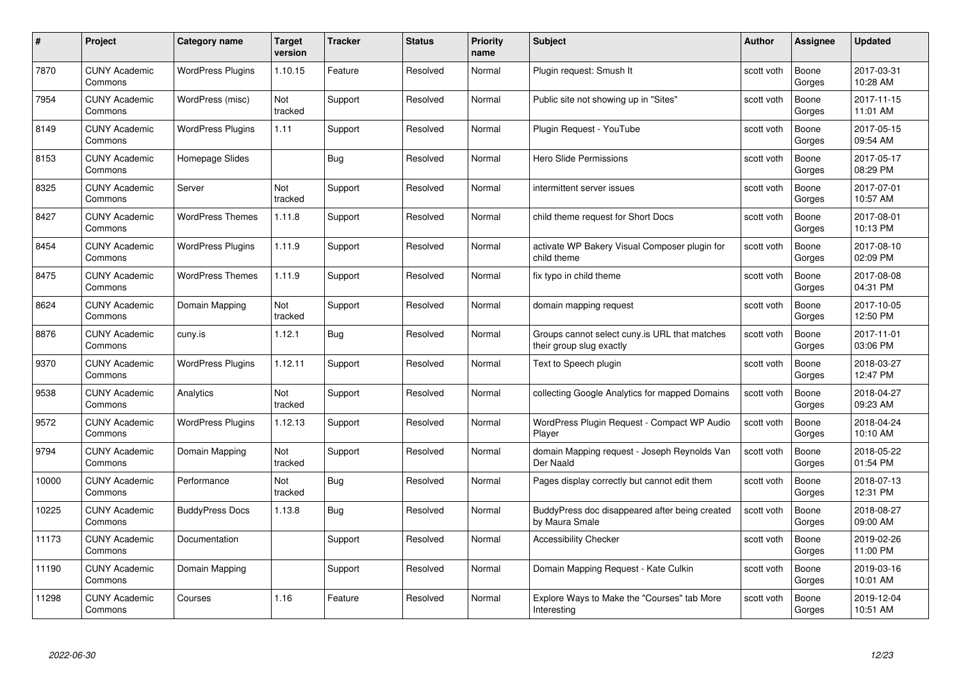| #     | Project                         | <b>Category name</b>     | Target<br>version | <b>Tracker</b> | <b>Status</b> | <b>Priority</b><br>name | <b>Subject</b>                                                            | <b>Author</b> | <b>Assignee</b> | <b>Updated</b>         |
|-------|---------------------------------|--------------------------|-------------------|----------------|---------------|-------------------------|---------------------------------------------------------------------------|---------------|-----------------|------------------------|
| 7870  | <b>CUNY Academic</b><br>Commons | <b>WordPress Plugins</b> | 1.10.15           | Feature        | Resolved      | Normal                  | Plugin request: Smush It                                                  | scott voth    | Boone<br>Gorges | 2017-03-31<br>10:28 AM |
| 7954  | <b>CUNY Academic</b><br>Commons | WordPress (misc)         | Not<br>tracked    | Support        | Resolved      | Normal                  | Public site not showing up in "Sites"                                     | scott voth    | Boone<br>Gorges | 2017-11-15<br>11:01 AM |
| 8149  | <b>CUNY Academic</b><br>Commons | <b>WordPress Plugins</b> | 1.11              | Support        | Resolved      | Normal                  | Plugin Request - YouTube                                                  | scott voth    | Boone<br>Gorges | 2017-05-15<br>09:54 AM |
| 8153  | <b>CUNY Academic</b><br>Commons | Homepage Slides          |                   | Bug            | Resolved      | Normal                  | <b>Hero Slide Permissions</b>                                             | scott voth    | Boone<br>Gorges | 2017-05-17<br>08:29 PM |
| 8325  | CUNY Academic<br>Commons        | Server                   | Not<br>tracked    | Support        | Resolved      | Normal                  | intermittent server issues                                                | scott voth    | Boone<br>Gorges | 2017-07-01<br>10:57 AM |
| 8427  | <b>CUNY Academic</b><br>Commons | <b>WordPress Themes</b>  | 1.11.8            | Support        | Resolved      | Normal                  | child theme request for Short Docs                                        | scott voth    | Boone<br>Gorges | 2017-08-01<br>10:13 PM |
| 8454  | <b>CUNY Academic</b><br>Commons | <b>WordPress Plugins</b> | 1.11.9            | Support        | Resolved      | Normal                  | activate WP Bakery Visual Composer plugin for<br>child theme              | scott voth    | Boone<br>Gorges | 2017-08-10<br>02:09 PM |
| 8475  | <b>CUNY Academic</b><br>Commons | <b>WordPress Themes</b>  | 1.11.9            | Support        | Resolved      | Normal                  | fix typo in child theme                                                   | scott voth    | Boone<br>Gorges | 2017-08-08<br>04:31 PM |
| 8624  | <b>CUNY Academic</b><br>Commons | Domain Mapping           | Not<br>tracked    | Support        | Resolved      | Normal                  | domain mapping request                                                    | scott voth    | Boone<br>Gorges | 2017-10-05<br>12:50 PM |
| 8876  | <b>CUNY Academic</b><br>Commons | cuny.is                  | 1.12.1            | <b>Bug</b>     | Resolved      | Normal                  | Groups cannot select cuny is URL that matches<br>their group slug exactly | scott voth    | Boone<br>Gorges | 2017-11-01<br>03:06 PM |
| 9370  | CUNY Academic<br>Commons        | <b>WordPress Plugins</b> | 1.12.11           | Support        | Resolved      | Normal                  | Text to Speech plugin                                                     | scott voth    | Boone<br>Gorges | 2018-03-27<br>12:47 PM |
| 9538  | <b>CUNY Academic</b><br>Commons | Analytics                | Not<br>tracked    | Support        | Resolved      | Normal                  | collecting Google Analytics for mapped Domains                            | scott voth    | Boone<br>Gorges | 2018-04-27<br>09:23 AM |
| 9572  | <b>CUNY Academic</b><br>Commons | <b>WordPress Plugins</b> | 1.12.13           | Support        | Resolved      | Normal                  | WordPress Plugin Request - Compact WP Audio<br>Player                     | scott voth    | Boone<br>Gorges | 2018-04-24<br>10:10 AM |
| 9794  | <b>CUNY Academic</b><br>Commons | Domain Mapping           | Not<br>tracked    | Support        | Resolved      | Normal                  | domain Mapping request - Joseph Reynolds Van<br>Der Naald                 | scott voth    | Boone<br>Gorges | 2018-05-22<br>01:54 PM |
| 10000 | <b>CUNY Academic</b><br>Commons | Performance              | Not<br>tracked    | <b>Bug</b>     | Resolved      | Normal                  | Pages display correctly but cannot edit them                              | scott voth    | Boone<br>Gorges | 2018-07-13<br>12:31 PM |
| 10225 | <b>CUNY Academic</b><br>Commons | <b>BuddyPress Docs</b>   | 1.13.8            | Bug            | Resolved      | Normal                  | BuddyPress doc disappeared after being created<br>by Maura Smale          | scott voth    | Boone<br>Gorges | 2018-08-27<br>09:00 AM |
| 11173 | <b>CUNY Academic</b><br>Commons | Documentation            |                   | Support        | Resolved      | Normal                  | <b>Accessibility Checker</b>                                              | scott voth    | Boone<br>Gorges | 2019-02-26<br>11:00 PM |
| 11190 | <b>CUNY Academic</b><br>Commons | Domain Mapping           |                   | Support        | Resolved      | Normal                  | Domain Mapping Request - Kate Culkin                                      | scott voth    | Boone<br>Gorges | 2019-03-16<br>10:01 AM |
| 11298 | CUNY Academic<br>Commons        | Courses                  | 1.16              | Feature        | Resolved      | Normal                  | Explore Ways to Make the "Courses" tab More<br>Interesting                | scott voth    | Boone<br>Gorges | 2019-12-04<br>10:51 AM |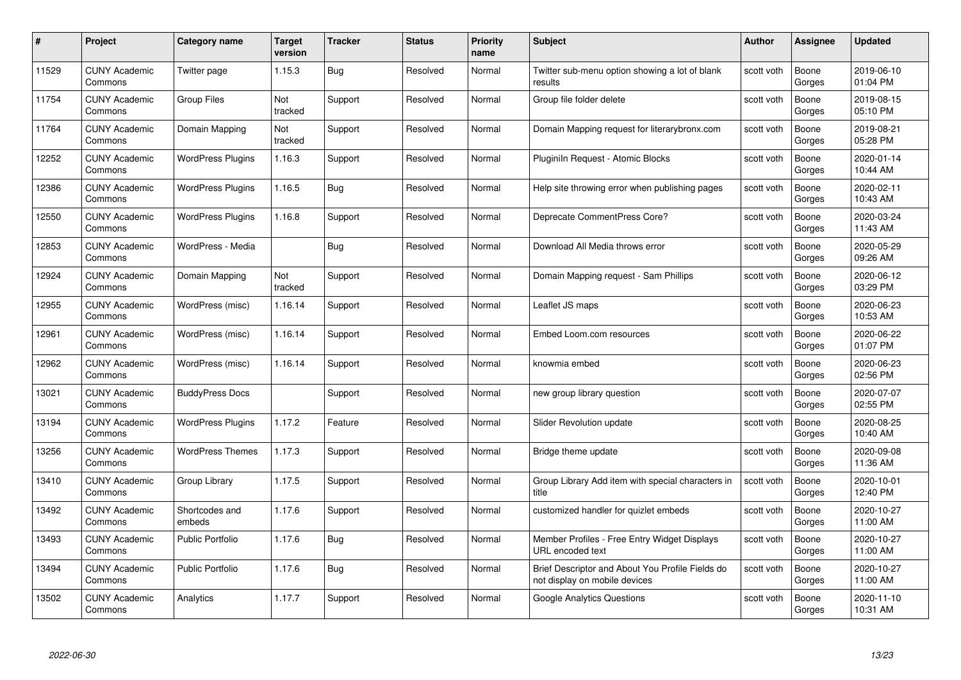| #     | Project                         | <b>Category name</b>     | Target<br>version | <b>Tracker</b> | <b>Status</b> | <b>Priority</b><br>name | <b>Subject</b>                                                                    | <b>Author</b> | <b>Assignee</b> | <b>Updated</b>         |
|-------|---------------------------------|--------------------------|-------------------|----------------|---------------|-------------------------|-----------------------------------------------------------------------------------|---------------|-----------------|------------------------|
| 11529 | <b>CUNY Academic</b><br>Commons | Twitter page             | 1.15.3            | Bug            | Resolved      | Normal                  | Twitter sub-menu option showing a lot of blank<br>results                         | scott voth    | Boone<br>Gorges | 2019-06-10<br>01:04 PM |
| 11754 | <b>CUNY Academic</b><br>Commons | <b>Group Files</b>       | Not<br>tracked    | Support        | Resolved      | Normal                  | Group file folder delete                                                          | scott voth    | Boone<br>Gorges | 2019-08-15<br>05:10 PM |
| 11764 | <b>CUNY Academic</b><br>Commons | Domain Mapping           | Not<br>tracked    | Support        | Resolved      | Normal                  | Domain Mapping request for literarybronx.com                                      | scott voth    | Boone<br>Gorges | 2019-08-21<br>05:28 PM |
| 12252 | <b>CUNY Academic</b><br>Commons | <b>WordPress Plugins</b> | 1.16.3            | Support        | Resolved      | Normal                  | Pluginiln Request - Atomic Blocks                                                 | scott voth    | Boone<br>Gorges | 2020-01-14<br>10:44 AM |
| 12386 | CUNY Academic<br>Commons        | <b>WordPress Plugins</b> | 1.16.5            | <b>Bug</b>     | Resolved      | Normal                  | Help site throwing error when publishing pages                                    | scott voth    | Boone<br>Gorges | 2020-02-11<br>10:43 AM |
| 12550 | <b>CUNY Academic</b><br>Commons | <b>WordPress Plugins</b> | 1.16.8            | Support        | Resolved      | Normal                  | Deprecate CommentPress Core?                                                      | scott voth    | Boone<br>Gorges | 2020-03-24<br>11:43 AM |
| 12853 | <b>CUNY Academic</b><br>Commons | WordPress - Media        |                   | Bug            | Resolved      | Normal                  | Download All Media throws error                                                   | scott voth    | Boone<br>Gorges | 2020-05-29<br>09:26 AM |
| 12924 | <b>CUNY Academic</b><br>Commons | Domain Mapping           | Not<br>tracked    | Support        | Resolved      | Normal                  | Domain Mapping request - Sam Phillips                                             | scott voth    | Boone<br>Gorges | 2020-06-12<br>03:29 PM |
| 12955 | <b>CUNY Academic</b><br>Commons | WordPress (misc)         | 1.16.14           | Support        | Resolved      | Normal                  | Leaflet JS maps                                                                   | scott voth    | Boone<br>Gorges | 2020-06-23<br>10:53 AM |
| 12961 | <b>CUNY Academic</b><br>Commons | WordPress (misc)         | 1.16.14           | Support        | Resolved      | Normal                  | Embed Loom.com resources                                                          | scott voth    | Boone<br>Gorges | 2020-06-22<br>01:07 PM |
| 12962 | CUNY Academic<br>Commons        | WordPress (misc)         | 1.16.14           | Support        | Resolved      | Normal                  | knowmia embed                                                                     | scott voth    | Boone<br>Gorges | 2020-06-23<br>02:56 PM |
| 13021 | <b>CUNY Academic</b><br>Commons | <b>BuddyPress Docs</b>   |                   | Support        | Resolved      | Normal                  | new group library question                                                        | scott voth    | Boone<br>Gorges | 2020-07-07<br>02:55 PM |
| 13194 | <b>CUNY Academic</b><br>Commons | <b>WordPress Plugins</b> | 1.17.2            | Feature        | Resolved      | Normal                  | <b>Slider Revolution update</b>                                                   | scott voth    | Boone<br>Gorges | 2020-08-25<br>10:40 AM |
| 13256 | <b>CUNY Academic</b><br>Commons | <b>WordPress Themes</b>  | 1.17.3            | Support        | Resolved      | Normal                  | Bridge theme update                                                               | scott voth    | Boone<br>Gorges | 2020-09-08<br>11:36 AM |
| 13410 | <b>CUNY Academic</b><br>Commons | Group Library            | 1.17.5            | Support        | Resolved      | Normal                  | Group Library Add item with special characters in<br>title                        | scott voth    | Boone<br>Gorges | 2020-10-01<br>12:40 PM |
| 13492 | <b>CUNY Academic</b><br>Commons | Shortcodes and<br>embeds | 1.17.6            | Support        | Resolved      | Normal                  | customized handler for quizlet embeds                                             | scott voth    | Boone<br>Gorges | 2020-10-27<br>11:00 AM |
| 13493 | <b>CUNY Academic</b><br>Commons | <b>Public Portfolio</b>  | 1.17.6            | <b>Bug</b>     | Resolved      | Normal                  | Member Profiles - Free Entry Widget Displays<br>URL encoded text                  | scott voth    | Boone<br>Gorges | 2020-10-27<br>11:00 AM |
| 13494 | <b>CUNY Academic</b><br>Commons | Public Portfolio         | 1.17.6            | <b>Bug</b>     | Resolved      | Normal                  | Brief Descriptor and About You Profile Fields do<br>not display on mobile devices | scott voth    | Boone<br>Gorges | 2020-10-27<br>11:00 AM |
| 13502 | CUNY Academic<br>Commons        | Analytics                | 1.17.7            | Support        | Resolved      | Normal                  | <b>Google Analytics Questions</b>                                                 | scott voth    | Boone<br>Gorges | 2020-11-10<br>10:31 AM |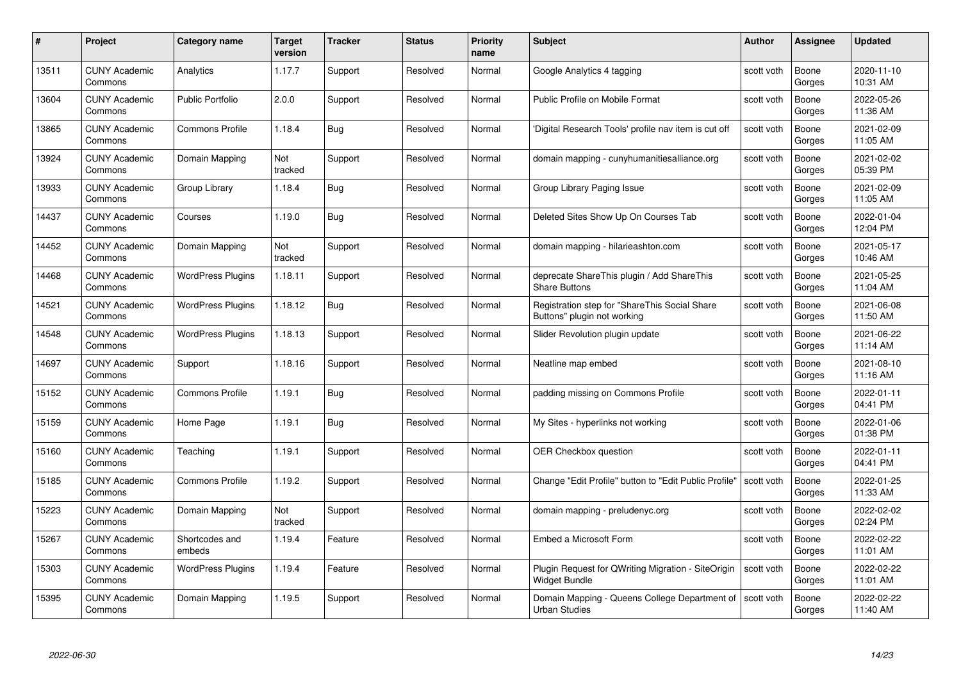| #     | Project                         | <b>Category name</b>     | Target<br>version | <b>Tracker</b> | <b>Status</b> | <b>Priority</b><br>name | <b>Subject</b>                                                               | <b>Author</b> | <b>Assignee</b> | <b>Updated</b>         |
|-------|---------------------------------|--------------------------|-------------------|----------------|---------------|-------------------------|------------------------------------------------------------------------------|---------------|-----------------|------------------------|
| 13511 | <b>CUNY Academic</b><br>Commons | Analytics                | 1.17.7            | Support        | Resolved      | Normal                  | Google Analytics 4 tagging                                                   | scott voth    | Boone<br>Gorges | 2020-11-10<br>10:31 AM |
| 13604 | <b>CUNY Academic</b><br>Commons | <b>Public Portfolio</b>  | 2.0.0             | Support        | Resolved      | Normal                  | Public Profile on Mobile Format                                              | scott voth    | Boone<br>Gorges | 2022-05-26<br>11:36 AM |
| 13865 | <b>CUNY Academic</b><br>Commons | <b>Commons Profile</b>   | 1.18.4            | <b>Bug</b>     | Resolved      | Normal                  | 'Digital Research Tools' profile nav item is cut off                         | scott voth    | Boone<br>Gorges | 2021-02-09<br>11:05 AM |
| 13924 | <b>CUNY Academic</b><br>Commons | Domain Mapping           | Not<br>tracked    | Support        | Resolved      | Normal                  | domain mapping - cunyhumanitiesalliance.org                                  | scott voth    | Boone<br>Gorges | 2021-02-02<br>05:39 PM |
| 13933 | <b>CUNY Academic</b><br>Commons | Group Library            | 1.18.4            | Bug            | Resolved      | Normal                  | Group Library Paging Issue                                                   | scott voth    | Boone<br>Gorges | 2021-02-09<br>11:05 AM |
| 14437 | <b>CUNY Academic</b><br>Commons | Courses                  | 1.19.0            | <b>Bug</b>     | Resolved      | Normal                  | Deleted Sites Show Up On Courses Tab                                         | scott voth    | Boone<br>Gorges | 2022-01-04<br>12:04 PM |
| 14452 | <b>CUNY Academic</b><br>Commons | Domain Mapping           | Not<br>tracked    | Support        | Resolved      | Normal                  | domain mapping - hilarieashton.com                                           | scott voth    | Boone<br>Gorges | 2021-05-17<br>10:46 AM |
| 14468 | <b>CUNY Academic</b><br>Commons | <b>WordPress Plugins</b> | 1.18.11           | Support        | Resolved      | Normal                  | deprecate ShareThis plugin / Add ShareThis<br><b>Share Buttons</b>           | scott voth    | Boone<br>Gorges | 2021-05-25<br>11:04 AM |
| 14521 | <b>CUNY Academic</b><br>Commons | <b>WordPress Plugins</b> | 1.18.12           | <b>Bug</b>     | Resolved      | Normal                  | Registration step for "ShareThis Social Share<br>Buttons" plugin not working | scott voth    | Boone<br>Gorges | 2021-06-08<br>11:50 AM |
| 14548 | <b>CUNY Academic</b><br>Commons | <b>WordPress Plugins</b> | 1.18.13           | Support        | Resolved      | Normal                  | Slider Revolution plugin update                                              | scott voth    | Boone<br>Gorges | 2021-06-22<br>11:14 AM |
| 14697 | CUNY Academic<br>Commons        | Support                  | 1.18.16           | Support        | Resolved      | Normal                  | Neatline map embed                                                           | scott voth    | Boone<br>Gorges | 2021-08-10<br>11:16 AM |
| 15152 | <b>CUNY Academic</b><br>Commons | <b>Commons Profile</b>   | 1.19.1            | Bug            | Resolved      | Normal                  | padding missing on Commons Profile                                           | scott voth    | Boone<br>Gorges | 2022-01-11<br>04:41 PM |
| 15159 | <b>CUNY Academic</b><br>Commons | Home Page                | 1.19.1            | Bug            | Resolved      | Normal                  | My Sites - hyperlinks not working                                            | scott voth    | Boone<br>Gorges | 2022-01-06<br>01:38 PM |
| 15160 | <b>CUNY Academic</b><br>Commons | Teaching                 | 1.19.1            | Support        | Resolved      | Normal                  | OER Checkbox question                                                        | scott voth    | Boone<br>Gorges | 2022-01-11<br>04:41 PM |
| 15185 | <b>CUNY Academic</b><br>Commons | <b>Commons Profile</b>   | 1.19.2            | Support        | Resolved      | Normal                  | Change "Edit Profile" button to "Edit Public Profile"                        | scott voth    | Boone<br>Gorges | 2022-01-25<br>11:33 AM |
| 15223 | <b>CUNY Academic</b><br>Commons | Domain Mapping           | Not<br>tracked    | Support        | Resolved      | Normal                  | domain mapping - preludenyc.org                                              | scott voth    | Boone<br>Gorges | 2022-02-02<br>02:24 PM |
| 15267 | <b>CUNY Academic</b><br>Commons | Shortcodes and<br>embeds | 1.19.4            | Feature        | Resolved      | Normal                  | Embed a Microsoft Form                                                       | scott voth    | Boone<br>Gorges | 2022-02-22<br>11:01 AM |
| 15303 | <b>CUNY Academic</b><br>Commons | <b>WordPress Plugins</b> | 1.19.4            | Feature        | Resolved      | Normal                  | Plugin Request for QWriting Migration - SiteOrigin<br>Widget Bundle          | scott voth    | Boone<br>Gorges | 2022-02-22<br>11:01 AM |
| 15395 | <b>CUNY Academic</b><br>Commons | Domain Mapping           | 1.19.5            | Support        | Resolved      | Normal                  | Domain Mapping - Queens College Department of<br><b>Urban Studies</b>        | scott voth    | Boone<br>Gorges | 2022-02-22<br>11:40 AM |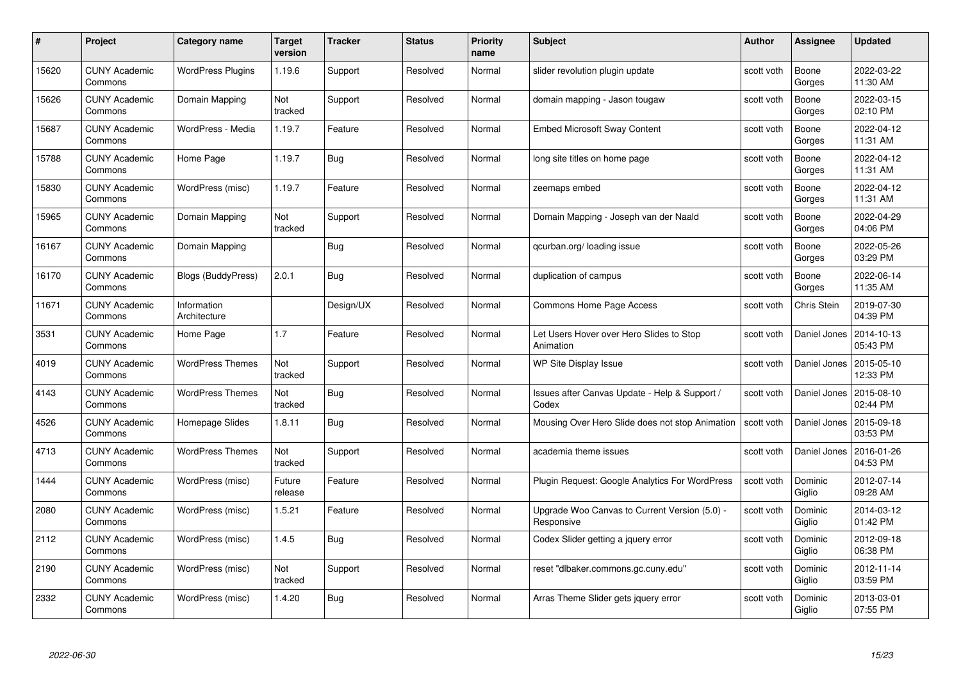| #     | Project                         | <b>Category name</b>        | Target<br>version | <b>Tracker</b> | <b>Status</b> | <b>Priority</b><br>name | <b>Subject</b>                                              | <b>Author</b> | <b>Assignee</b>   | <b>Updated</b>         |
|-------|---------------------------------|-----------------------------|-------------------|----------------|---------------|-------------------------|-------------------------------------------------------------|---------------|-------------------|------------------------|
| 15620 | <b>CUNY Academic</b><br>Commons | <b>WordPress Plugins</b>    | 1.19.6            | Support        | Resolved      | Normal                  | slider revolution plugin update                             | scott voth    | Boone<br>Gorges   | 2022-03-22<br>11:30 AM |
| 15626 | <b>CUNY Academic</b><br>Commons | Domain Mapping              | Not<br>tracked    | Support        | Resolved      | Normal                  | domain mapping - Jason tougaw                               | scott voth    | Boone<br>Gorges   | 2022-03-15<br>02:10 PM |
| 15687 | <b>CUNY Academic</b><br>Commons | WordPress - Media           | 1.19.7            | Feature        | Resolved      | Normal                  | Embed Microsoft Sway Content                                | scott voth    | Boone<br>Gorges   | 2022-04-12<br>11:31 AM |
| 15788 | <b>CUNY Academic</b><br>Commons | Home Page                   | 1.19.7            | Bug            | Resolved      | Normal                  | long site titles on home page                               | scott voth    | Boone<br>Gorges   | 2022-04-12<br>11:31 AM |
| 15830 | <b>CUNY Academic</b><br>Commons | WordPress (misc)            | 1.19.7            | Feature        | Resolved      | Normal                  | zeemaps embed                                               | scott voth    | Boone<br>Gorges   | 2022-04-12<br>11:31 AM |
| 15965 | <b>CUNY Academic</b><br>Commons | Domain Mapping              | Not<br>tracked    | Support        | Resolved      | Normal                  | Domain Mapping - Joseph van der Naald                       | scott voth    | Boone<br>Gorges   | 2022-04-29<br>04:06 PM |
| 16167 | <b>CUNY Academic</b><br>Commons | Domain Mapping              |                   | Bug            | Resolved      | Normal                  | qcurban.org/loading issue                                   | scott voth    | Boone<br>Gorges   | 2022-05-26<br>03:29 PM |
| 16170 | <b>CUNY Academic</b><br>Commons | Blogs (BuddyPress)          | 2.0.1             | Bug            | Resolved      | Normal                  | duplication of campus                                       | scott voth    | Boone<br>Gorges   | 2022-06-14<br>11:35 AM |
| 11671 | <b>CUNY Academic</b><br>Commons | Information<br>Architecture |                   | Design/UX      | Resolved      | Normal                  | Commons Home Page Access                                    | scott voth    | Chris Stein       | 2019-07-30<br>04:39 PM |
| 3531  | <b>CUNY Academic</b><br>Commons | Home Page                   | 1.7               | Feature        | Resolved      | Normal                  | Let Users Hover over Hero Slides to Stop<br>Animation       | scott voth    | Daniel Jones      | 2014-10-13<br>05:43 PM |
| 4019  | CUNY Academic<br>Commons        | <b>WordPress Themes</b>     | Not<br>tracked    | Support        | Resolved      | Normal                  | WP Site Display Issue                                       | scott voth    | Daniel Jones      | 2015-05-10<br>12:33 PM |
| 4143  | <b>CUNY Academic</b><br>Commons | <b>WordPress Themes</b>     | Not<br>tracked    | <b>Bug</b>     | Resolved      | Normal                  | Issues after Canvas Update - Help & Support /<br>Codex      | scott voth    | Daniel Jones      | 2015-08-10<br>02:44 PM |
| 4526  | <b>CUNY Academic</b><br>Commons | Homepage Slides             | 1.8.11            | <b>Bug</b>     | Resolved      | Normal                  | Mousing Over Hero Slide does not stop Animation             | scott voth    | Daniel Jones      | 2015-09-18<br>03:53 PM |
| 4713  | <b>CUNY Academic</b><br>Commons | <b>WordPress Themes</b>     | Not<br>tracked    | Support        | Resolved      | Normal                  | academia theme issues                                       | scott voth    | Daniel Jones      | 2016-01-26<br>04:53 PM |
| 1444  | <b>CUNY Academic</b><br>Commons | WordPress (misc)            | Future<br>release | Feature        | Resolved      | Normal                  | Plugin Request: Google Analytics For WordPress              | scott voth    | Dominic<br>Giglio | 2012-07-14<br>09:28 AM |
| 2080  | <b>CUNY Academic</b><br>Commons | WordPress (misc)            | 1.5.21            | Feature        | Resolved      | Normal                  | Upgrade Woo Canvas to Current Version (5.0) -<br>Responsive | scott voth    | Dominic<br>Giglio | 2014-03-12<br>01:42 PM |
| 2112  | <b>CUNY Academic</b><br>Commons | WordPress (misc)            | 1.4.5             | <b>Bug</b>     | Resolved      | Normal                  | Codex Slider getting a jquery error                         | scott voth    | Dominic<br>Giglio | 2012-09-18<br>06:38 PM |
| 2190  | <b>CUNY Academic</b><br>Commons | WordPress (misc)            | Not<br>tracked    | Support        | Resolved      | Normal                  | reset "dlbaker.commons.gc.cuny.edu"                         | scott voth    | Dominic<br>Giglio | 2012-11-14<br>03:59 PM |
| 2332  | CUNY Academic<br>Commons        | WordPress (misc)            | 1.4.20            | <b>Bug</b>     | Resolved      | Normal                  | Arras Theme Slider gets jquery error                        | scott voth    | Dominic<br>Giglio | 2013-03-01<br>07:55 PM |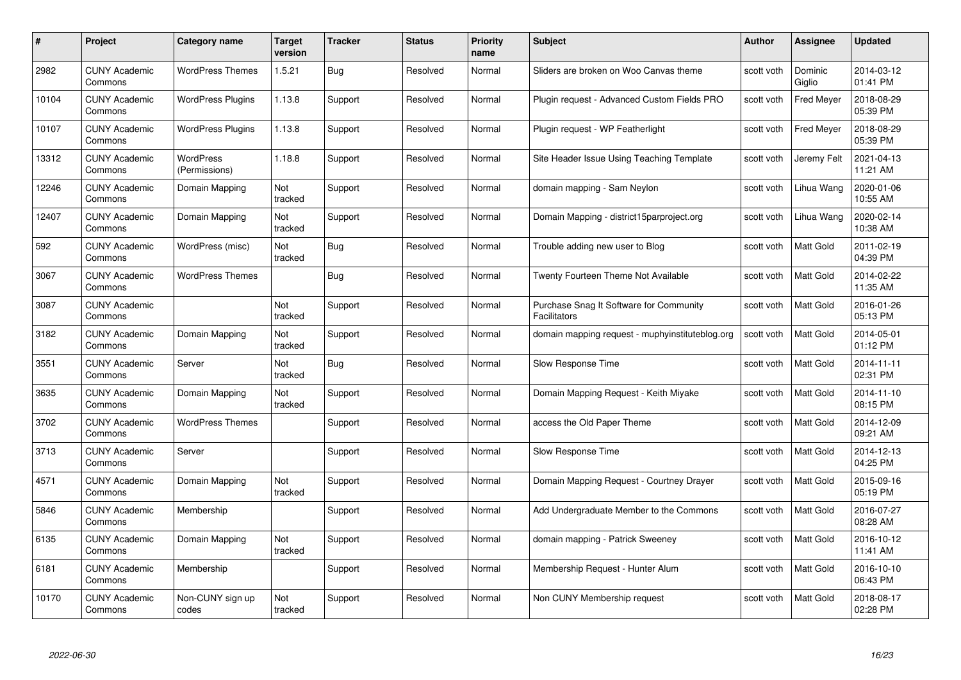| #     | Project                         | Category name                     | Target<br>version | <b>Tracker</b> | <b>Status</b> | <b>Priority</b><br>name | <b>Subject</b>                                                 | <b>Author</b> | <b>Assignee</b>   | <b>Updated</b>         |
|-------|---------------------------------|-----------------------------------|-------------------|----------------|---------------|-------------------------|----------------------------------------------------------------|---------------|-------------------|------------------------|
| 2982  | <b>CUNY Academic</b><br>Commons | <b>WordPress Themes</b>           | 1.5.21            | <b>Bug</b>     | Resolved      | Normal                  | Sliders are broken on Woo Canvas theme                         | scott voth    | Dominic<br>Giglio | 2014-03-12<br>01:41 PM |
| 10104 | <b>CUNY Academic</b><br>Commons | <b>WordPress Plugins</b>          | 1.13.8            | Support        | Resolved      | Normal                  | Plugin request - Advanced Custom Fields PRO                    | scott voth    | Fred Meyer        | 2018-08-29<br>05:39 PM |
| 10107 | <b>CUNY Academic</b><br>Commons | <b>WordPress Plugins</b>          | 1.13.8            | Support        | Resolved      | Normal                  | Plugin request - WP Featherlight                               | scott voth    | <b>Fred Meyer</b> | 2018-08-29<br>05:39 PM |
| 13312 | <b>CUNY Academic</b><br>Commons | <b>WordPress</b><br>(Permissions) | 1.18.8            | Support        | Resolved      | Normal                  | Site Header Issue Using Teaching Template                      | scott voth    | Jeremy Felt       | 2021-04-13<br>11:21 AM |
| 12246 | <b>CUNY Academic</b><br>Commons | Domain Mapping                    | Not<br>tracked    | Support        | Resolved      | Normal                  | domain mapping - Sam Neylon                                    | scott voth    | Lihua Wang        | 2020-01-06<br>10:55 AM |
| 12407 | <b>CUNY Academic</b><br>Commons | Domain Mapping                    | Not<br>tracked    | Support        | Resolved      | Normal                  | Domain Mapping - district15parproject.org                      | scott voth    | Lihua Wang        | 2020-02-14<br>10:38 AM |
| 592   | <b>CUNY Academic</b><br>Commons | WordPress (misc)                  | Not<br>tracked    | <b>Bug</b>     | Resolved      | Normal                  | Trouble adding new user to Blog                                | scott voth    | Matt Gold         | 2011-02-19<br>04:39 PM |
| 3067  | <b>CUNY Academic</b><br>Commons | <b>WordPress Themes</b>           |                   | Bug            | Resolved      | Normal                  | <b>Twenty Fourteen Theme Not Available</b>                     | scott voth    | Matt Gold         | 2014-02-22<br>11:35 AM |
| 3087  | <b>CUNY Academic</b><br>Commons |                                   | Not<br>tracked    | Support        | Resolved      | Normal                  | Purchase Snag It Software for Community<br><b>Facilitators</b> | scott voth    | Matt Gold         | 2016-01-26<br>05:13 PM |
| 3182  | <b>CUNY Academic</b><br>Commons | Domain Mapping                    | Not<br>tracked    | Support        | Resolved      | Normal                  | domain mapping request - muphyinstituteblog.org                | scott voth    | Matt Gold         | 2014-05-01<br>01:12 PM |
| 3551  | <b>CUNY Academic</b><br>Commons | Server                            | Not<br>tracked    | Bug            | Resolved      | Normal                  | Slow Response Time                                             | scott voth    | Matt Gold         | 2014-11-11<br>02:31 PM |
| 3635  | <b>CUNY Academic</b><br>Commons | Domain Mapping                    | Not<br>tracked    | Support        | Resolved      | Normal                  | Domain Mapping Request - Keith Miyake                          | scott voth    | Matt Gold         | 2014-11-10<br>08:15 PM |
| 3702  | <b>CUNY Academic</b><br>Commons | <b>WordPress Themes</b>           |                   | Support        | Resolved      | Normal                  | access the Old Paper Theme                                     | scott voth    | <b>Matt Gold</b>  | 2014-12-09<br>09:21 AM |
| 3713  | <b>CUNY Academic</b><br>Commons | Server                            |                   | Support        | Resolved      | Normal                  | Slow Response Time                                             | scott voth    | Matt Gold         | 2014-12-13<br>04:25 PM |
| 4571  | <b>CUNY Academic</b><br>Commons | Domain Mapping                    | Not<br>tracked    | Support        | Resolved      | Normal                  | Domain Mapping Request - Courtney Drayer                       | scott voth    | Matt Gold         | 2015-09-16<br>05:19 PM |
| 5846  | <b>CUNY Academic</b><br>Commons | Membership                        |                   | Support        | Resolved      | Normal                  | Add Undergraduate Member to the Commons                        | scott voth    | Matt Gold         | 2016-07-27<br>08:28 AM |
| 6135  | <b>CUNY Academic</b><br>Commons | Domain Mapping                    | Not<br>tracked    | Support        | Resolved      | Normal                  | domain mapping - Patrick Sweeney                               | scott voth    | <b>Matt Gold</b>  | 2016-10-12<br>11:41 AM |
| 6181  | <b>CUNY Academic</b><br>Commons | Membership                        |                   | Support        | Resolved      | Normal                  | Membership Request - Hunter Alum                               | scott voth    | Matt Gold         | 2016-10-10<br>06:43 PM |
| 10170 | CUNY Academic<br>Commons        | Non-CUNY sign up<br>codes         | Not<br>tracked    | Support        | Resolved      | Normal                  | Non CUNY Membership request                                    | scott voth    | <b>Matt Gold</b>  | 2018-08-17<br>02:28 PM |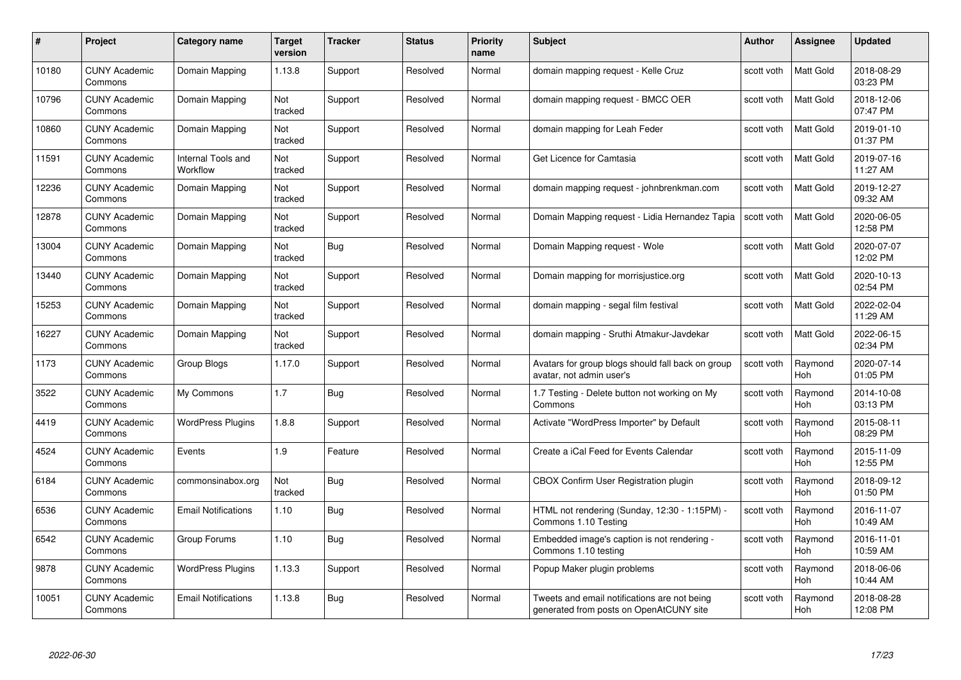| #     | Project                         | Category name                  | Target<br>version | <b>Tracker</b> | <b>Status</b> | <b>Priority</b><br>name | <b>Subject</b>                                                                          | <b>Author</b> | <b>Assignee</b>       | <b>Updated</b>         |
|-------|---------------------------------|--------------------------------|-------------------|----------------|---------------|-------------------------|-----------------------------------------------------------------------------------------|---------------|-----------------------|------------------------|
| 10180 | <b>CUNY Academic</b><br>Commons | Domain Mapping                 | 1.13.8            | Support        | Resolved      | Normal                  | domain mapping request - Kelle Cruz                                                     | scott voth    | <b>Matt Gold</b>      | 2018-08-29<br>03:23 PM |
| 10796 | <b>CUNY Academic</b><br>Commons | Domain Mapping                 | Not<br>tracked    | Support        | Resolved      | Normal                  | domain mapping request - BMCC OER                                                       | scott voth    | Matt Gold             | 2018-12-06<br>07:47 PM |
| 10860 | <b>CUNY Academic</b><br>Commons | Domain Mapping                 | Not<br>tracked    | Support        | Resolved      | Normal                  | domain mapping for Leah Feder                                                           | scott voth    | Matt Gold             | 2019-01-10<br>01:37 PM |
| 11591 | <b>CUNY Academic</b><br>Commons | Internal Tools and<br>Workflow | Not<br>tracked    | Support        | Resolved      | Normal                  | Get Licence for Camtasia                                                                | scott voth    | Matt Gold             | 2019-07-16<br>11:27 AM |
| 12236 | <b>CUNY Academic</b><br>Commons | Domain Mapping                 | Not<br>tracked    | Support        | Resolved      | Normal                  | domain mapping request - johnbrenkman.com                                               | scott voth    | <b>Matt Gold</b>      | 2019-12-27<br>09:32 AM |
| 12878 | <b>CUNY Academic</b><br>Commons | Domain Mapping                 | Not<br>tracked    | Support        | Resolved      | Normal                  | Domain Mapping request - Lidia Hernandez Tapia                                          | scott voth    | <b>Matt Gold</b>      | 2020-06-05<br>12:58 PM |
| 13004 | <b>CUNY Academic</b><br>Commons | Domain Mapping                 | Not<br>tracked    | <b>Bug</b>     | Resolved      | Normal                  | Domain Mapping request - Wole                                                           | scott voth    | Matt Gold             | 2020-07-07<br>12:02 PM |
| 13440 | <b>CUNY Academic</b><br>Commons | Domain Mapping                 | Not<br>tracked    | Support        | Resolved      | Normal                  | Domain mapping for morrisjustice.org                                                    | scott voth    | Matt Gold             | 2020-10-13<br>02:54 PM |
| 15253 | <b>CUNY Academic</b><br>Commons | Domain Mapping                 | Not<br>tracked    | Support        | Resolved      | Normal                  | domain mapping - segal film festival                                                    | scott voth    | <b>Matt Gold</b>      | 2022-02-04<br>11:29 AM |
| 16227 | <b>CUNY Academic</b><br>Commons | Domain Mapping                 | Not<br>tracked    | Support        | Resolved      | Normal                  | domain mapping - Sruthi Atmakur-Javdekar                                                | scott voth    | Matt Gold             | 2022-06-15<br>02:34 PM |
| 1173  | <b>CUNY Academic</b><br>Commons | Group Blogs                    | 1.17.0            | Support        | Resolved      | Normal                  | Avatars for group blogs should fall back on group<br>avatar, not admin user's           | scott voth    | Raymond<br>Hoh        | 2020-07-14<br>01:05 PM |
| 3522  | <b>CUNY Academic</b><br>Commons | My Commons                     | 1.7               | Bug            | Resolved      | Normal                  | 1.7 Testing - Delete button not working on My<br>Commons                                | scott voth    | Raymond<br><b>Hoh</b> | 2014-10-08<br>03:13 PM |
| 4419  | <b>CUNY Academic</b><br>Commons | <b>WordPress Plugins</b>       | 1.8.8             | Support        | Resolved      | Normal                  | Activate "WordPress Importer" by Default                                                | scott voth    | Raymond<br>Hoh        | 2015-08-11<br>08:29 PM |
| 4524  | <b>CUNY Academic</b><br>Commons | Events                         | 1.9               | Feature        | Resolved      | Normal                  | Create a iCal Feed for Events Calendar                                                  | scott voth    | Raymond<br>Hoh        | 2015-11-09<br>12:55 PM |
| 6184  | <b>CUNY Academic</b><br>Commons | commonsinabox.org              | Not<br>tracked    | Bug            | Resolved      | Normal                  | CBOX Confirm User Registration plugin                                                   | scott voth    | Raymond<br><b>Hoh</b> | 2018-09-12<br>01:50 PM |
| 6536  | <b>CUNY Academic</b><br>Commons | <b>Email Notifications</b>     | 1.10              | Bug            | Resolved      | Normal                  | HTML not rendering (Sunday, 12:30 - 1:15PM) -<br>Commons 1.10 Testing                   | scott voth    | Raymond<br><b>Hoh</b> | 2016-11-07<br>10:49 AM |
| 6542  | <b>CUNY Academic</b><br>Commons | Group Forums                   | 1.10              | Bug            | Resolved      | Normal                  | Embedded image's caption is not rendering -<br>Commons 1.10 testing                     | scott voth    | Raymond<br><b>Hoh</b> | 2016-11-01<br>10:59 AM |
| 9878  | <b>CUNY Academic</b><br>Commons | <b>WordPress Plugins</b>       | 1.13.3            | Support        | Resolved      | Normal                  | Popup Maker plugin problems                                                             | scott voth    | Raymond<br><b>Hoh</b> | 2018-06-06<br>10:44 AM |
| 10051 | <b>CUNY Academic</b><br>Commons | <b>Email Notifications</b>     | 1.13.8            | Bug            | Resolved      | Normal                  | Tweets and email notifications are not being<br>generated from posts on OpenAtCUNY site | scott voth    | Raymond<br>Hoh        | 2018-08-28<br>12:08 PM |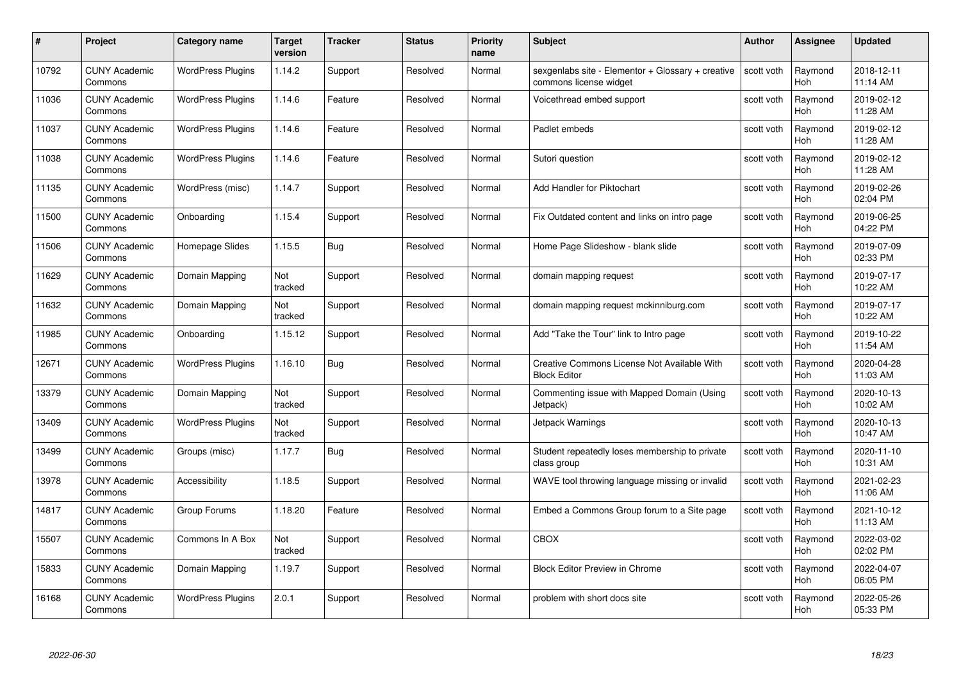| #     | Project                         | Category name            | Target<br>version | <b>Tracker</b> | <b>Status</b> | <b>Priority</b><br>name | <b>Subject</b>                                                              | <b>Author</b> | <b>Assignee</b>       | <b>Updated</b>         |
|-------|---------------------------------|--------------------------|-------------------|----------------|---------------|-------------------------|-----------------------------------------------------------------------------|---------------|-----------------------|------------------------|
| 10792 | <b>CUNY Academic</b><br>Commons | <b>WordPress Plugins</b> | 1.14.2            | Support        | Resolved      | Normal                  | sexgenlabs site - Elementor + Glossary + creative<br>commons license widget | scott voth    | Raymond<br><b>Hoh</b> | 2018-12-11<br>11:14 AM |
| 11036 | <b>CUNY Academic</b><br>Commons | <b>WordPress Plugins</b> | 1.14.6            | Feature        | Resolved      | Normal                  | Voicethread embed support                                                   | scott voth    | Raymond<br>Hoh        | 2019-02-12<br>11:28 AM |
| 11037 | <b>CUNY Academic</b><br>Commons | <b>WordPress Plugins</b> | 1.14.6            | Feature        | Resolved      | Normal                  | Padlet embeds                                                               | scott voth    | Raymond<br>Hoh        | 2019-02-12<br>11:28 AM |
| 11038 | <b>CUNY Academic</b><br>Commons | <b>WordPress Plugins</b> | 1.14.6            | Feature        | Resolved      | Normal                  | Sutori question                                                             | scott voth    | Raymond<br><b>Hoh</b> | 2019-02-12<br>11:28 AM |
| 11135 | <b>CUNY Academic</b><br>Commons | WordPress (misc)         | 1.14.7            | Support        | Resolved      | Normal                  | Add Handler for Piktochart                                                  | scott voth    | Raymond<br>Hoh        | 2019-02-26<br>02:04 PM |
| 11500 | <b>CUNY Academic</b><br>Commons | Onboarding               | 1.15.4            | Support        | Resolved      | Normal                  | Fix Outdated content and links on intro page                                | scott voth    | Raymond<br>Hoh        | 2019-06-25<br>04:22 PM |
| 11506 | <b>CUNY Academic</b><br>Commons | Homepage Slides          | 1.15.5            | <b>Bug</b>     | Resolved      | Normal                  | Home Page Slideshow - blank slide                                           | scott voth    | Raymond<br>Hoh        | 2019-07-09<br>02:33 PM |
| 11629 | <b>CUNY Academic</b><br>Commons | Domain Mapping           | Not<br>tracked    | Support        | Resolved      | Normal                  | domain mapping request                                                      | scott voth    | Raymond<br><b>Hoh</b> | 2019-07-17<br>10:22 AM |
| 11632 | <b>CUNY Academic</b><br>Commons | Domain Mapping           | Not<br>tracked    | Support        | Resolved      | Normal                  | domain mapping request mckinniburg.com                                      | scott voth    | Raymond<br><b>Hoh</b> | 2019-07-17<br>10:22 AM |
| 11985 | <b>CUNY Academic</b><br>Commons | Onboarding               | 1.15.12           | Support        | Resolved      | Normal                  | Add "Take the Tour" link to Intro page                                      | scott voth    | Raymond<br><b>Hoh</b> | 2019-10-22<br>11:54 AM |
| 12671 | <b>CUNY Academic</b><br>Commons | <b>WordPress Plugins</b> | 1.16.10           | Bug            | Resolved      | Normal                  | Creative Commons License Not Available With<br><b>Block Editor</b>          | scott voth    | Raymond<br>Hoh        | 2020-04-28<br>11:03 AM |
| 13379 | <b>CUNY Academic</b><br>Commons | Domain Mapping           | Not<br>tracked    | Support        | Resolved      | Normal                  | Commenting issue with Mapped Domain (Using<br>Jetpack)                      | scott voth    | Raymond<br><b>Hoh</b> | 2020-10-13<br>10:02 AM |
| 13409 | <b>CUNY Academic</b><br>Commons | <b>WordPress Plugins</b> | Not<br>tracked    | Support        | Resolved      | Normal                  | Jetpack Warnings                                                            | scott voth    | Raymond<br>Hoh        | 2020-10-13<br>10:47 AM |
| 13499 | <b>CUNY Academic</b><br>Commons | Groups (misc)            | 1.17.7            | <b>Bug</b>     | Resolved      | Normal                  | Student repeatedly loses membership to private<br>class group               | scott voth    | Raymond<br><b>Hoh</b> | 2020-11-10<br>10:31 AM |
| 13978 | <b>CUNY Academic</b><br>Commons | Accessibility            | 1.18.5            | Support        | Resolved      | Normal                  | WAVE tool throwing language missing or invalid                              | scott voth    | Raymond<br><b>Hoh</b> | 2021-02-23<br>11:06 AM |
| 14817 | <b>CUNY Academic</b><br>Commons | Group Forums             | 1.18.20           | Feature        | Resolved      | Normal                  | Embed a Commons Group forum to a Site page                                  | scott voth    | Raymond<br><b>Hoh</b> | 2021-10-12<br>11:13 AM |
| 15507 | <b>CUNY Academic</b><br>Commons | Commons In A Box         | Not<br>tracked    | Support        | Resolved      | Normal                  | CBOX                                                                        | scott voth    | Raymond<br><b>Hoh</b> | 2022-03-02<br>02:02 PM |
| 15833 | <b>CUNY Academic</b><br>Commons | Domain Mapping           | 1.19.7            | Support        | Resolved      | Normal                  | <b>Block Editor Preview in Chrome</b>                                       | scott voth    | Raymond<br><b>Hoh</b> | 2022-04-07<br>06:05 PM |
| 16168 | CUNY Academic<br>Commons        | <b>WordPress Plugins</b> | 2.0.1             | Support        | Resolved      | Normal                  | problem with short docs site                                                | scott voth    | Raymond<br>Hoh        | 2022-05-26<br>05:33 PM |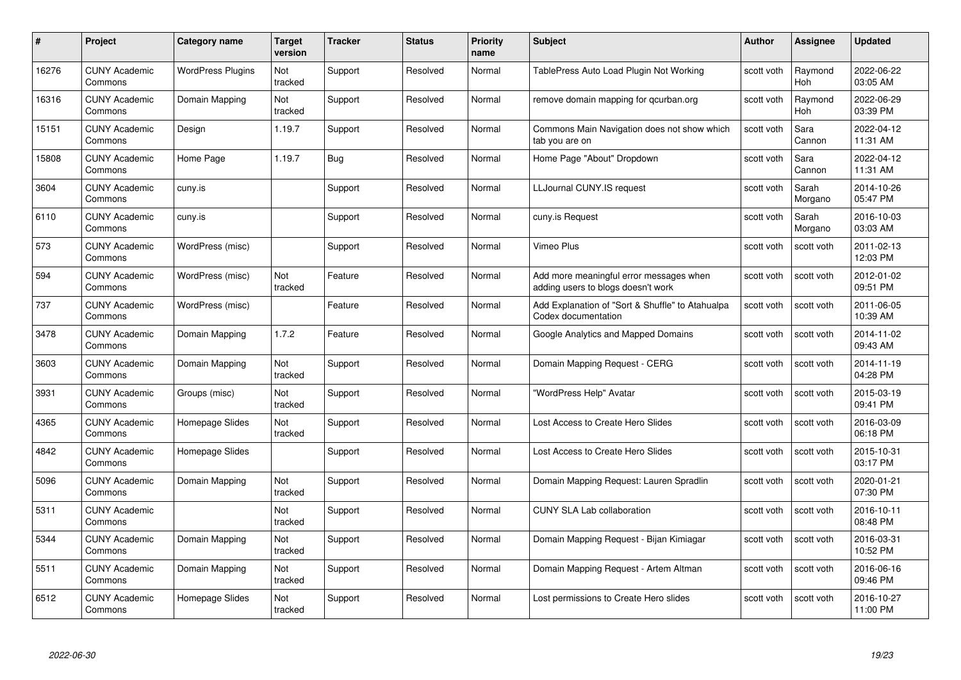| #     | Project                         | <b>Category name</b>     | Target<br>version | <b>Tracker</b> | <b>Status</b> | <b>Priority</b><br>name | <b>Subject</b>                                                                | <b>Author</b> | <b>Assignee</b>       | <b>Updated</b>         |
|-------|---------------------------------|--------------------------|-------------------|----------------|---------------|-------------------------|-------------------------------------------------------------------------------|---------------|-----------------------|------------------------|
| 16276 | <b>CUNY Academic</b><br>Commons | <b>WordPress Plugins</b> | Not<br>tracked    | Support        | Resolved      | Normal                  | TablePress Auto Load Plugin Not Working                                       | scott voth    | Raymond<br><b>Hoh</b> | 2022-06-22<br>03:05 AM |
| 16316 | <b>CUNY Academic</b><br>Commons | Domain Mapping           | Not<br>tracked    | Support        | Resolved      | Normal                  | remove domain mapping for gcurban.org                                         | scott voth    | Raymond<br><b>Hoh</b> | 2022-06-29<br>03:39 PM |
| 15151 | <b>CUNY Academic</b><br>Commons | Design                   | 1.19.7            | Support        | Resolved      | Normal                  | Commons Main Navigation does not show which<br>tab you are on                 | scott voth    | Sara<br>Cannon        | 2022-04-12<br>11:31 AM |
| 15808 | <b>CUNY Academic</b><br>Commons | Home Page                | 1.19.7            | Bug            | Resolved      | Normal                  | Home Page "About" Dropdown                                                    | scott voth    | Sara<br>Cannon        | 2022-04-12<br>11:31 AM |
| 3604  | CUNY Academic<br>Commons        | cuny.is                  |                   | Support        | Resolved      | Normal                  | LLJournal CUNY.IS request                                                     | scott voth    | Sarah<br>Morgano      | 2014-10-26<br>05:47 PM |
| 6110  | <b>CUNY Academic</b><br>Commons | cuny.is                  |                   | Support        | Resolved      | Normal                  | cuny.is Request                                                               | scott voth    | Sarah<br>Morgano      | 2016-10-03<br>03:03 AM |
| 573   | <b>CUNY Academic</b><br>Commons | WordPress (misc)         |                   | Support        | Resolved      | Normal                  | Vimeo Plus                                                                    | scott voth    | scott voth            | 2011-02-13<br>12:03 PM |
| 594   | <b>CUNY Academic</b><br>Commons | WordPress (misc)         | Not<br>tracked    | Feature        | Resolved      | Normal                  | Add more meaningful error messages when<br>adding users to blogs doesn't work | scott voth    | scott voth            | 2012-01-02<br>09:51 PM |
| 737   | <b>CUNY Academic</b><br>Commons | WordPress (misc)         |                   | Feature        | Resolved      | Normal                  | Add Explanation of "Sort & Shuffle" to Atahualpa<br>Codex documentation       | scott voth    | scott voth            | 2011-06-05<br>10:39 AM |
| 3478  | <b>CUNY Academic</b><br>Commons | Domain Mapping           | 1.7.2             | Feature        | Resolved      | Normal                  | Google Analytics and Mapped Domains                                           | scott voth    | scott voth            | 2014-11-02<br>09:43 AM |
| 3603  | CUNY Academic<br>Commons        | Domain Mapping           | Not<br>tracked    | Support        | Resolved      | Normal                  | Domain Mapping Request - CERG                                                 | scott voth    | scott voth            | 2014-11-19<br>04:28 PM |
| 3931  | <b>CUNY Academic</b><br>Commons | Groups (misc)            | Not<br>tracked    | Support        | Resolved      | Normal                  | "WordPress Help" Avatar                                                       | scott voth    | scott voth            | 2015-03-19<br>09:41 PM |
| 4365  | <b>CUNY Academic</b><br>Commons | Homepage Slides          | Not<br>tracked    | Support        | Resolved      | Normal                  | Lost Access to Create Hero Slides                                             | scott voth    | scott voth            | 2016-03-09<br>06:18 PM |
| 4842  | <b>CUNY Academic</b><br>Commons | Homepage Slides          |                   | Support        | Resolved      | Normal                  | Lost Access to Create Hero Slides                                             | scott voth    | scott voth            | 2015-10-31<br>03:17 PM |
| 5096  | <b>CUNY Academic</b><br>Commons | Domain Mapping           | Not<br>tracked    | Support        | Resolved      | Normal                  | Domain Mapping Request: Lauren Spradlin                                       | scott voth    | scott voth            | 2020-01-21<br>07:30 PM |
| 5311  | <b>CUNY Academic</b><br>Commons |                          | Not<br>tracked    | Support        | Resolved      | Normal                  | <b>CUNY SLA Lab collaboration</b>                                             | scott voth    | scott voth            | 2016-10-11<br>08:48 PM |
| 5344  | <b>CUNY Academic</b><br>Commons | Domain Mapping           | Not<br>tracked    | Support        | Resolved      | Normal                  | Domain Mapping Request - Bijan Kimiagar                                       | scott voth    | scott voth            | 2016-03-31<br>10:52 PM |
| 5511  | <b>CUNY Academic</b><br>Commons | Domain Mapping           | Not<br>tracked    | Support        | Resolved      | Normal                  | Domain Mapping Request - Artem Altman                                         | scott voth    | scott voth            | 2016-06-16<br>09:46 PM |
| 6512  | CUNY Academic<br>Commons        | Homepage Slides          | Not<br>tracked    | Support        | Resolved      | Normal                  | Lost permissions to Create Hero slides                                        | scott voth    | scott voth            | 2016-10-27<br>11:00 PM |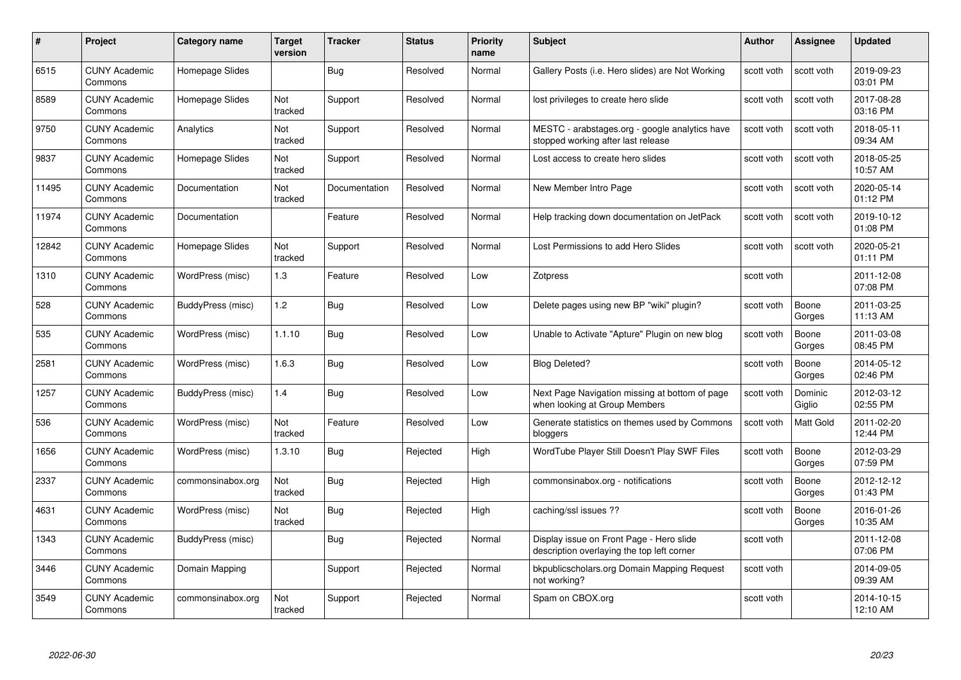| #     | Project                         | <b>Category name</b> | Target<br>version     | <b>Tracker</b> | <b>Status</b> | <b>Priority</b><br>name | <b>Subject</b>                                                                         | <b>Author</b> | <b>Assignee</b>   | <b>Updated</b>         |
|-------|---------------------------------|----------------------|-----------------------|----------------|---------------|-------------------------|----------------------------------------------------------------------------------------|---------------|-------------------|------------------------|
| 6515  | <b>CUNY Academic</b><br>Commons | Homepage Slides      |                       | <b>Bug</b>     | Resolved      | Normal                  | Gallery Posts (i.e. Hero slides) are Not Working                                       | scott voth    | scott voth        | 2019-09-23<br>03:01 PM |
| 8589  | <b>CUNY Academic</b><br>Commons | Homepage Slides      | Not<br>tracked        | Support        | Resolved      | Normal                  | lost privileges to create hero slide                                                   | scott voth    | scott voth        | 2017-08-28<br>03:16 PM |
| 9750  | <b>CUNY Academic</b><br>Commons | Analytics            | Not<br>tracked        | Support        | Resolved      | Normal                  | MESTC - arabstages.org - google analytics have<br>stopped working after last release   | scott voth    | scott voth        | 2018-05-11<br>09:34 AM |
| 9837  | <b>CUNY Academic</b><br>Commons | Homepage Slides      | Not<br>tracked        | Support        | Resolved      | Normal                  | Lost access to create hero slides                                                      | scott voth    | scott voth        | 2018-05-25<br>10:57 AM |
| 11495 | <b>CUNY Academic</b><br>Commons | Documentation        | <b>Not</b><br>tracked | Documentation  | Resolved      | Normal                  | New Member Intro Page                                                                  | scott voth    | scott voth        | 2020-05-14<br>01:12 PM |
| 11974 | <b>CUNY Academic</b><br>Commons | Documentation        |                       | Feature        | Resolved      | Normal                  | Help tracking down documentation on JetPack                                            | scott voth    | scott voth        | 2019-10-12<br>01:08 PM |
| 12842 | <b>CUNY Academic</b><br>Commons | Homepage Slides      | Not<br>tracked        | Support        | Resolved      | Normal                  | Lost Permissions to add Hero Slides                                                    | scott voth    | scott voth        | 2020-05-21<br>01:11 PM |
| 1310  | <b>CUNY Academic</b><br>Commons | WordPress (misc)     | 1.3                   | Feature        | Resolved      | Low                     | Zotpress                                                                               | scott voth    |                   | 2011-12-08<br>07:08 PM |
| 528   | <b>CUNY Academic</b><br>Commons | BuddyPress (misc)    | 1.2                   | Bug            | Resolved      | Low                     | Delete pages using new BP "wiki" plugin?                                               | scott voth    | Boone<br>Gorges   | 2011-03-25<br>11:13 AM |
| 535   | <b>CUNY Academic</b><br>Commons | WordPress (misc)     | 1.1.10                | Bug            | Resolved      | Low                     | Unable to Activate "Apture" Plugin on new blog                                         | scott voth    | Boone<br>Gorges   | 2011-03-08<br>08:45 PM |
| 2581  | <b>CUNY Academic</b><br>Commons | WordPress (misc)     | 1.6.3                 | <b>Bug</b>     | Resolved      | Low                     | <b>Blog Deleted?</b>                                                                   | scott voth    | Boone<br>Gorges   | 2014-05-12<br>02:46 PM |
| 1257  | <b>CUNY Academic</b><br>Commons | BuddyPress (misc)    | 1.4                   | Bug            | Resolved      | Low                     | Next Page Navigation missing at bottom of page<br>when looking at Group Members        | scott voth    | Dominic<br>Giglio | 2012-03-12<br>02:55 PM |
| 536   | <b>CUNY Academic</b><br>Commons | WordPress (misc)     | Not<br>tracked        | Feature        | Resolved      | Low                     | Generate statistics on themes used by Commons<br>bloggers                              | scott voth    | Matt Gold         | 2011-02-20<br>12:44 PM |
| 1656  | <b>CUNY Academic</b><br>Commons | WordPress (misc)     | 1.3.10                | Bug            | Rejected      | High                    | WordTube Player Still Doesn't Play SWF Files                                           | scott voth    | Boone<br>Gorges   | 2012-03-29<br>07:59 PM |
| 2337  | CUNY Academic<br>Commons        | commonsinabox.org    | Not<br>tracked        | Bug            | Rejected      | High                    | commonsinabox.org - notifications                                                      | scott voth    | Boone<br>Gorges   | 2012-12-12<br>01:43 PM |
| 4631  | <b>CUNY Academic</b><br>Commons | WordPress (misc)     | Not<br>tracked        | <b>Bug</b>     | Rejected      | High                    | caching/ssl issues ??                                                                  | scott voth    | Boone<br>Gorges   | 2016-01-26<br>10:35 AM |
| 1343  | <b>CUNY Academic</b><br>Commons | BuddyPress (misc)    |                       | Bug            | Rejected      | Normal                  | Display issue on Front Page - Hero slide<br>description overlaying the top left corner | scott voth    |                   | 2011-12-08<br>07:06 PM |
| 3446  | <b>CUNY Academic</b><br>Commons | Domain Mapping       |                       | Support        | Rejected      | Normal                  | bkpublicscholars.org Domain Mapping Request<br>not working?                            | scott voth    |                   | 2014-09-05<br>09:39 AM |
| 3549  | CUNY Academic<br>Commons        | commonsinabox.org    | Not<br>tracked        | Support        | Rejected      | Normal                  | Spam on CBOX.org                                                                       | scott voth    |                   | 2014-10-15<br>12:10 AM |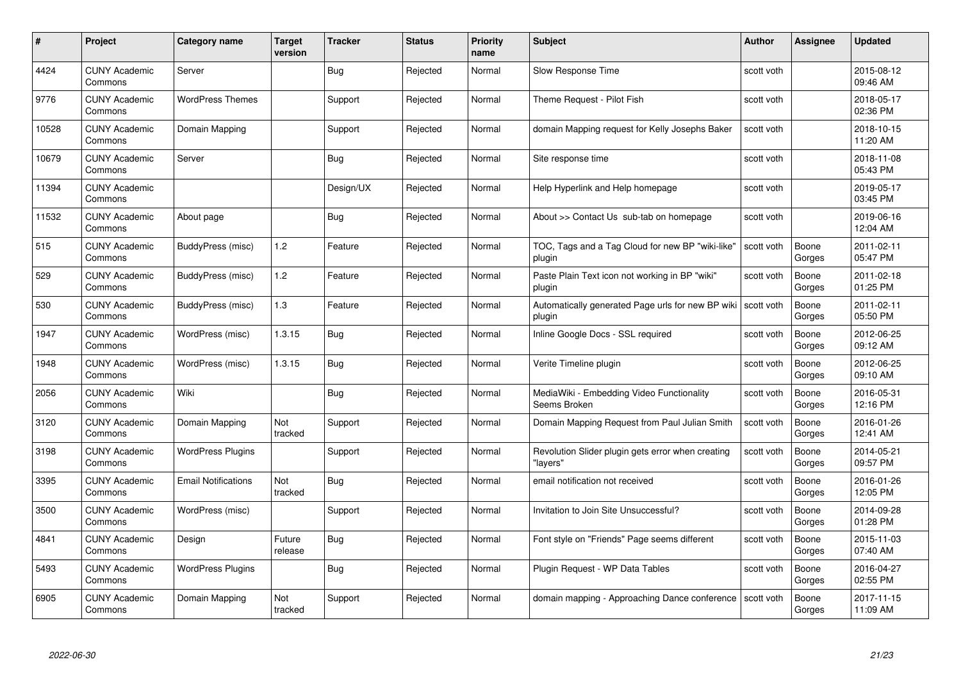| #     | Project                         | <b>Category name</b>       | Target<br>version | <b>Tracker</b> | <b>Status</b> | <b>Priority</b><br>name | <b>Subject</b>                                                           | <b>Author</b> | <b>Assignee</b> | <b>Updated</b>         |
|-------|---------------------------------|----------------------------|-------------------|----------------|---------------|-------------------------|--------------------------------------------------------------------------|---------------|-----------------|------------------------|
| 4424  | <b>CUNY Academic</b><br>Commons | Server                     |                   | Bug            | Rejected      | Normal                  | Slow Response Time                                                       | scott voth    |                 | 2015-08-12<br>09:46 AM |
| 9776  | <b>CUNY Academic</b><br>Commons | <b>WordPress Themes</b>    |                   | Support        | Rejected      | Normal                  | Theme Request - Pilot Fish                                               | scott voth    |                 | 2018-05-17<br>02:36 PM |
| 10528 | <b>CUNY Academic</b><br>Commons | Domain Mapping             |                   | Support        | Rejected      | Normal                  | domain Mapping request for Kelly Josephs Baker                           | scott voth    |                 | 2018-10-15<br>11:20 AM |
| 10679 | <b>CUNY Academic</b><br>Commons | Server                     |                   | <b>Bug</b>     | Rejected      | Normal                  | Site response time                                                       | scott voth    |                 | 2018-11-08<br>05:43 PM |
| 11394 | CUNY Academic<br>Commons        |                            |                   | Design/UX      | Rejected      | Normal                  | Help Hyperlink and Help homepage                                         | scott voth    |                 | 2019-05-17<br>03:45 PM |
| 11532 | <b>CUNY Academic</b><br>Commons | About page                 |                   | Bug            | Rejected      | Normal                  | About >> Contact Us sub-tab on homepage                                  | scott voth    |                 | 2019-06-16<br>12:04 AM |
| 515   | <b>CUNY Academic</b><br>Commons | BuddyPress (misc)          | 1.2               | Feature        | Rejected      | Normal                  | TOC, Tags and a Tag Cloud for new BP "wiki-like"<br>plugin               | scott voth    | Boone<br>Gorges | 2011-02-11<br>05:47 PM |
| 529   | <b>CUNY Academic</b><br>Commons | BuddyPress (misc)          | 1.2               | Feature        | Rejected      | Normal                  | Paste Plain Text icon not working in BP "wiki"<br>plugin                 | scott voth    | Boone<br>Gorges | 2011-02-18<br>01:25 PM |
| 530   | <b>CUNY Academic</b><br>Commons | BuddyPress (misc)          | 1.3               | Feature        | Rejected      | Normal                  | Automatically generated Page urls for new BP wiki   scott voth<br>plugin |               | Boone<br>Gorges | 2011-02-11<br>05:50 PM |
| 1947  | <b>CUNY Academic</b><br>Commons | WordPress (misc)           | 1.3.15            | Bug            | Rejected      | Normal                  | Inline Google Docs - SSL required                                        | scott voth    | Boone<br>Gorges | 2012-06-25<br>09:12 AM |
| 1948  | CUNY Academic<br>Commons        | WordPress (misc)           | 1.3.15            | Bug            | Rejected      | Normal                  | Verite Timeline plugin                                                   | scott voth    | Boone<br>Gorges | 2012-06-25<br>09:10 AM |
| 2056  | <b>CUNY Academic</b><br>Commons | Wiki                       |                   | <b>Bug</b>     | Rejected      | Normal                  | MediaWiki - Embedding Video Functionality<br>Seems Broken                | scott voth    | Boone<br>Gorges | 2016-05-31<br>12:16 PM |
| 3120  | <b>CUNY Academic</b><br>Commons | Domain Mapping             | Not<br>tracked    | Support        | Rejected      | Normal                  | Domain Mapping Request from Paul Julian Smith                            | scott voth    | Boone<br>Gorges | 2016-01-26<br>12:41 AM |
| 3198  | <b>CUNY Academic</b><br>Commons | <b>WordPress Plugins</b>   |                   | Support        | Rejected      | Normal                  | Revolution Slider plugin gets error when creating<br>"lavers'            | scott voth    | Boone<br>Gorges | 2014-05-21<br>09:57 PM |
| 3395  | <b>CUNY Academic</b><br>Commons | <b>Email Notifications</b> | Not<br>tracked    | <b>Bug</b>     | Rejected      | Normal                  | email notification not received                                          | scott voth    | Boone<br>Gorges | 2016-01-26<br>12:05 PM |
| 3500  | <b>CUNY Academic</b><br>Commons | WordPress (misc)           |                   | Support        | Rejected      | Normal                  | Invitation to Join Site Unsuccessful?                                    | scott voth    | Boone<br>Gorges | 2014-09-28<br>01:28 PM |
| 4841  | <b>CUNY Academic</b><br>Commons | Design                     | Future<br>release | <b>Bug</b>     | Rejected      | Normal                  | Font style on "Friends" Page seems different                             | scott voth    | Boone<br>Gorges | 2015-11-03<br>07:40 AM |
| 5493  | <b>CUNY Academic</b><br>Commons | <b>WordPress Plugins</b>   |                   | <b>Bug</b>     | Rejected      | Normal                  | Plugin Request - WP Data Tables                                          | scott voth    | Boone<br>Gorges | 2016-04-27<br>02:55 PM |
| 6905  | CUNY Academic<br>Commons        | Domain Mapping             | Not<br>tracked    | Support        | Rejected      | Normal                  | domain mapping - Approaching Dance conference                            | scott voth    | Boone<br>Gorges | 2017-11-15<br>11:09 AM |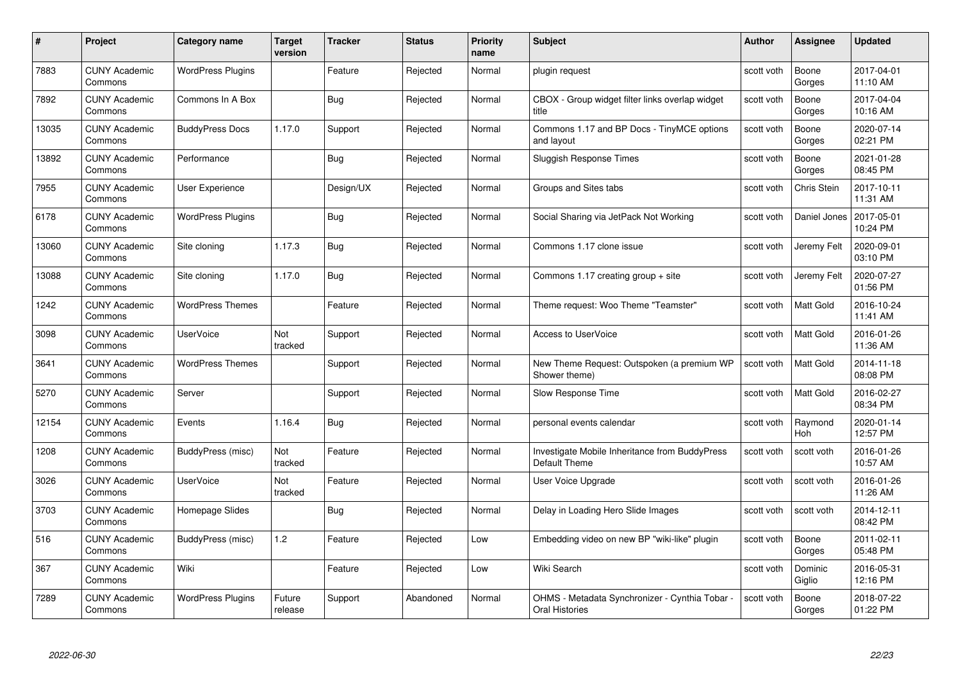| #     | Project                         | <b>Category name</b>     | Target<br>version | <b>Tracker</b> | <b>Status</b> | <b>Priority</b><br>name | <b>Subject</b>                                                        | <b>Author</b> | <b>Assignee</b>   | <b>Updated</b>         |
|-------|---------------------------------|--------------------------|-------------------|----------------|---------------|-------------------------|-----------------------------------------------------------------------|---------------|-------------------|------------------------|
| 7883  | <b>CUNY Academic</b><br>Commons | <b>WordPress Plugins</b> |                   | Feature        | Rejected      | Normal                  | plugin request                                                        | scott voth    | Boone<br>Gorges   | 2017-04-01<br>11:10 AM |
| 7892  | <b>CUNY Academic</b><br>Commons | Commons In A Box         |                   | Bug            | Rejected      | Normal                  | CBOX - Group widget filter links overlap widget<br>title              | scott voth    | Boone<br>Gorges   | 2017-04-04<br>10:16 AM |
| 13035 | <b>CUNY Academic</b><br>Commons | <b>BuddyPress Docs</b>   | 1.17.0            | Support        | Rejected      | Normal                  | Commons 1.17 and BP Docs - TinyMCE options<br>and layout              | scott voth    | Boone<br>Gorges   | 2020-07-14<br>02:21 PM |
| 13892 | <b>CUNY Academic</b><br>Commons | Performance              |                   | <b>Bug</b>     | Rejected      | Normal                  | Sluggish Response Times                                               | scott voth    | Boone<br>Gorges   | 2021-01-28<br>08:45 PM |
| 7955  | CUNY Academic<br>Commons        | User Experience          |                   | Design/UX      | Rejected      | Normal                  | Groups and Sites tabs                                                 | scott voth    | Chris Stein       | 2017-10-11<br>11:31 AM |
| 6178  | <b>CUNY Academic</b><br>Commons | <b>WordPress Plugins</b> |                   | Bug            | Rejected      | Normal                  | Social Sharing via JetPack Not Working                                | scott voth    | Daniel Jones      | 2017-05-01<br>10:24 PM |
| 13060 | <b>CUNY Academic</b><br>Commons | Site cloning             | 1.17.3            | Bug            | Rejected      | Normal                  | Commons 1.17 clone issue                                              | scott voth    | Jeremy Felt       | 2020-09-01<br>03:10 PM |
| 13088 | <b>CUNY Academic</b><br>Commons | Site cloning             | 1.17.0            | Bug            | Rejected      | Normal                  | Commons 1.17 creating group $+$ site                                  | scott voth    | Jeremy Felt       | 2020-07-27<br>01:56 PM |
| 1242  | <b>CUNY Academic</b><br>Commons | <b>WordPress Themes</b>  |                   | Feature        | Rejected      | Normal                  | Theme request: Woo Theme "Teamster"                                   | scott voth    | <b>Matt Gold</b>  | 2016-10-24<br>11:41 AM |
| 3098  | <b>CUNY Academic</b><br>Commons | <b>UserVoice</b>         | Not<br>tracked    | Support        | Rejected      | Normal                  | <b>Access to UserVoice</b>                                            | scott voth    | <b>Matt Gold</b>  | 2016-01-26<br>11:36 AM |
| 3641  | CUNY Academic<br>Commons        | <b>WordPress Themes</b>  |                   | Support        | Rejected      | Normal                  | New Theme Request: Outspoken (a premium WP<br>Shower theme)           | scott voth    | Matt Gold         | 2014-11-18<br>08:08 PM |
| 5270  | <b>CUNY Academic</b><br>Commons | Server                   |                   | Support        | Rejected      | Normal                  | Slow Response Time                                                    | scott voth    | Matt Gold         | 2016-02-27<br>08:34 PM |
| 12154 | <b>CUNY Academic</b><br>Commons | Events                   | 1.16.4            | Bug            | Rejected      | Normal                  | personal events calendar                                              | scott voth    | Raymond<br>Hoh    | 2020-01-14<br>12:57 PM |
| 1208  | <b>CUNY Academic</b><br>Commons | BuddyPress (misc)        | Not<br>tracked    | Feature        | Rejected      | Normal                  | Investigate Mobile Inheritance from BuddyPress<br>Default Theme       | scott voth    | scott voth        | 2016-01-26<br>10:57 AM |
| 3026  | <b>CUNY Academic</b><br>Commons | UserVoice                | Not<br>tracked    | Feature        | Rejected      | Normal                  | User Voice Upgrade                                                    | scott voth    | scott voth        | 2016-01-26<br>11:26 AM |
| 3703  | <b>CUNY Academic</b><br>Commons | Homepage Slides          |                   | Bug            | Rejected      | Normal                  | Delay in Loading Hero Slide Images                                    | scott voth    | scott voth        | 2014-12-11<br>08:42 PM |
| 516   | <b>CUNY Academic</b><br>Commons | BuddyPress (misc)        | 1.2               | Feature        | Rejected      | Low                     | Embedding video on new BP "wiki-like" plugin                          | scott voth    | Boone<br>Gorges   | 2011-02-11<br>05:48 PM |
| 367   | <b>CUNY Academic</b><br>Commons | Wiki                     |                   | Feature        | Rejected      | Low                     | Wiki Search                                                           | scott voth    | Dominic<br>Giglio | 2016-05-31<br>12:16 PM |
| 7289  | CUNY Academic<br>Commons        | <b>WordPress Plugins</b> | Future<br>release | Support        | Abandoned     | Normal                  | OHMS - Metadata Synchronizer - Cynthia Tobar<br><b>Oral Histories</b> | scott voth    | Boone<br>Gorges   | 2018-07-22<br>01:22 PM |